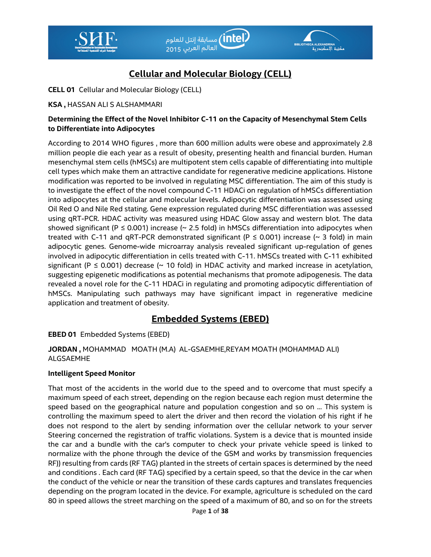



# **Cellular and Molecular Biology (CELL)**

**CELL 01** Cellular and Molecular Biology (CELL)

## **KSA ,** HASSAN ALI S ALSHAMMARI

## **Determining the Effect of the Novel Inhibitor C-11 on the Capacity of Mesenchymal Stem Cells to Differentiate into Adipocytes**

According to 2014 WHO figures , more than 600 million adults were obese and approximately 2.8 million people die each year as a result of obesity, presenting health and financial burden. Human mesenchymal stem cells (hMSCs) are multipotent stem cells capable of differentiating into multiple cell types which make them an attractive candidate for regenerative medicine applications. Histone modification was reported to be involved in regulating MSC differentiation. The aim of this study is to investigate the effect of the novel compound C-11 HDACi on regulation of hMSCs differentiation into adipocytes at the cellular and molecular levels. Adipocytic differentiation was assessed using Oil Red O and Nile Red stating. Gene expression regulated during MSC differentiation was assessed using qRT-PCR. HDAC activity was measured using HDAC Glow assay and western blot. The data showed significant (P  $\leq$  0.001) increase ( $\sim$  2.5 fold) in hMSCs differentiation into adipocytes when treated with C-11 and qRT-PCR demonstrated significant ( $P \le 0.001$ ) increase (~ 3 fold) in main adipocytic genes. Genome-wide microarray analysis revealed significant up-regulation of genes involved in adipocytic differentiation in cells treated with C-11. hMSCs treated with C-11 exhibited significant (P  $\leq$  0.001) decrease ( $\sim$  10 fold) in HDAC activity and marked increase in acetylation, suggesting epigenetic modifications as potential mechanisms that promote adipogenesis. The data revealed a novel role for the C-11 HDACi in regulating and promoting adipocytic differentiation of hMSCs. Manipulating such pathways may have significant impact in regenerative medicine application and treatment of obesity.

# **Embedded Systems (EBED)**

**EBED 01** Embedded Systems (EBED)

**JORDAN ,** MOHAMMAD MOATH (M.A) AL-GSAEMHE,REYAM MOATH (MOHAMMAD ALI) ALGSAEMHE

### **Intelligent Speed Monitor**

That most of the accidents in the world due to the speed and to overcome that must specify a maximum speed of each street, depending on the region because each region must determine the speed based on the geographical nature and population congestion and so on ... This system is controlling the maximum speed to alert the driver and then record the violation of his right if he does not respond to the alert by sending information over the cellular network to your server Steering concerned the registration of traffic violations. System is a device that is mounted inside the car and a bundle with the car's computer to check your private vehicle speed is linked to normalize with the phone through the device of the GSM and works by transmission frequencies RF)) resulting from cards (RF TAG) planted in the streets of certain spaces is determined by the need and conditions . Each card (RF TAG) specified by a certain speed, so that the device in the car when the conduct of the vehicle or near the transition of these cards captures and translates frequencies depending on the program located in the device. For example, agriculture is scheduled on the card 80 in speed allows the street marching on the speed of a maximum of 80, and so on for the streets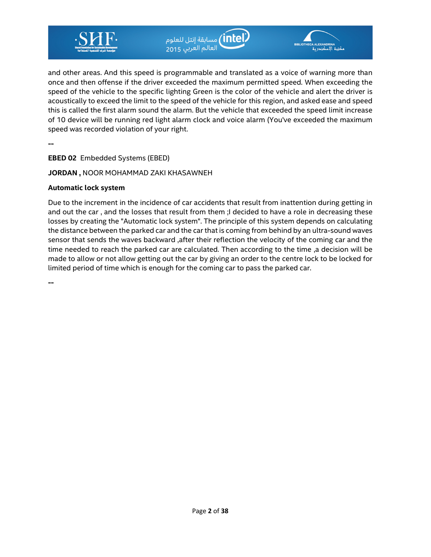

ر <mark>intel)</mark> مسابقة إنتل للعلوم<br>العالم العربي <sub>2015</sub>



and other areas. And this speed is programmable and translated as a voice of warning more than once and then offense if the driver exceeded the maximum permitted speed. When exceeding the speed of the vehicle to the specific lighting Green is the color of the vehicle and alert the driver is acoustically to exceed the limit to the speed of the vehicle for this region, and asked ease and speed this is called the first alarm sound the alarm. But the vehicle that exceeded the speed limit increase of 10 device will be running red light alarm clock and voice alarm (You've exceeded the maximum speed was recorded violation of your right.

**--** 

**EBED 02** Embedded Systems (EBED)

**JORDAN ,** NOOR MOHAMMAD ZAKI KHASAWNEH

#### **Automatic lock system**

Due to the increment in the incidence of car accidents that result from inattention during getting in and out the car, and the losses that result from them ; I decided to have a role in decreasing these losses by creating the "Automatic lock system". The principle of this system depends on calculating the distance between the parked car and the car that is coming from behind by an ultra-sound waves sensor that sends the waves backward ,after their reflection the velocity of the coming car and the time needed to reach the parked car are calculated. Then according to the time ,a decision will be made to allow or not allow getting out the car by giving an order to the centre lock to be locked for limited period of time which is enough for the coming car to pass the parked car.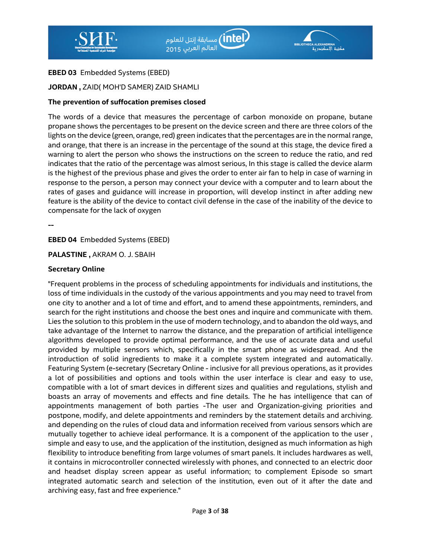



#### **EBED 03** Embedded Systems (EBED)

#### **JORDAN ,** ZAID( MOH'D SAMER) ZAID SHAMLI

#### **The prevention of suffocation premises closed**

The words of a device that measures the percentage of carbon monoxide on propane, butane propane shows the percentages to be present on the device screen and there are three colors of the lights on the device (green, orange, red) green indicates that the percentages are in the normal range, and orange, that there is an increase in the percentage of the sound at this stage, the device fired a warning to alert the person who shows the instructions on the screen to reduce the ratio, and red indicates that the ratio of the percentage was almost serious, In this stage is called the device alarm is the highest of the previous phase and gives the order to enter air fan to help in case of warning in response to the person, a person may connect your device with a computer and to learn about the rates of gases and guidance will increase in proportion, will develop instinct in after adding new feature is the ability of the device to contact civil defense in the case of the inability of the device to compensate for the lack of oxygen

**--** 

**EBED 04** Embedded Systems (EBED)

**PALASTINE ,** AKRAM O. J. SBAIH

#### **Secretary Online**

"Frequent problems in the process of scheduling appointments for individuals and institutions, the loss of time individuals in the custody of the various appointments and you may need to travel from one city to another and a lot of time and effort, and to amend these appointments, reminders, and search for the right institutions and choose the best ones and inquire and communicate with them. Lies the solution to this problem in the use of modern technology, and to abandon the old ways, and take advantage of the Internet to narrow the distance, and the preparation of artificial intelligence algorithms developed to provide optimal performance, and the use of accurate data and useful provided by multiple sensors which, specifically in the smart phone as widespread. And the introduction of solid ingredients to make it a complete system integrated and automatically. Featuring System (e-secretary (Secretary Online - inclusive for all previous operations, as it provides a lot of possibilities and options and tools within the user interface is clear and easy to use, compatible with a lot of smart devices in different sizes and qualities and regulations, stylish and boasts an array of movements and effects and fine details. The he has intelligence that can of appointments management of both parties -The user and Organization-giving priorities and postpone, modify, and delete appointments and reminders by the statement details and archiving. and depending on the rules of cloud data and information received from various sensors which are mutually together to achieve ideal performance. It is a component of the application to the user , simple and easy to use, and the application of the institution, designed as much information as high flexibility to introduce benefiting from large volumes of smart panels. It includes hardwares as well, it contains in microcontroller connected wirelessly with phones, and connected to an electric door and headset display screen appear as useful information; to complement Episode so smart integrated automatic search and selection of the institution, even out of it after the date and archiving easy, fast and free experience."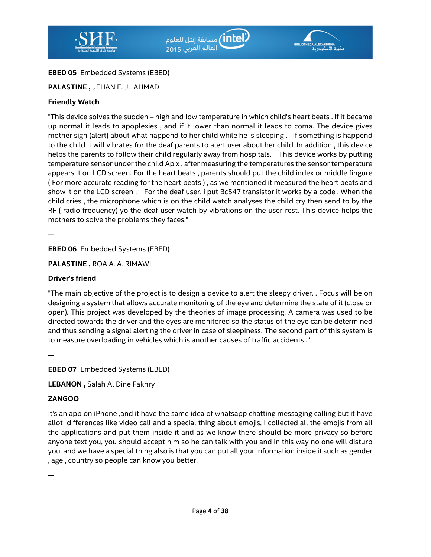

# **EBED 05** Embedded Systems (EBED)

# **PALASTINE ,** JEHAN E. J. AHMAD

## **Friendly Watch**

"This device solves the sudden – high and low temperature in which child's heart beats . If it became up normal it leads to apoplexies , and if it lower than normal it leads to coma. The device gives mother sign (alert) about what happend to her child while he is sleeping . If something is happend to the child it will vibrates for the deaf parents to alert user about her child, In addition , this device helps the parents to follow their child regularly away from hospitals. This device works by putting temperature sensor under the child Apix , after measuring the temperatures the sensor temperature appears it on LCD screen. For the heart beats , parents should put the child index or middle fingure ( For more accurate reading for the heart beats ) , as we mentioned it measured the heart beats and show it on the LCD screen . For the deaf user, i put Bc547 transistor it works by a code . When the child cries , the microphone which is on the child watch analyses the child cry then send to by the RF ( radio frequency) yo the deaf user watch by vibrations on the user rest. This device helps the mothers to solve the problems they faces."

**--** 

**EBED 06** Embedded Systems (EBED)

**PALASTINE ,** ROA A. A. RIMAWI

## **Driver's friend**

"The main objective of the project is to design a device to alert the sleepy driver. . Focus will be on designing a system that allows accurate monitoring of the eye and determine the state of it (close or open). This project was developed by the theories of image processing. A camera was used to be directed towards the driver and the eyes are monitored so the status of the eye can be determined and thus sending a signal alerting the driver in case of sleepiness. The second part of this system is to measure overloading in vehicles which is another causes of traffic accidents ."

**--** 

**EBED 07** Embedded Systems (EBED)

**LEBANON ,** Salah Al Dine Fakhry

# **ZANGOO**

It's an app on iPhone ,and it have the same idea of whatsapp chatting messaging calling but it have allot differences like video call and a special thing about emojis, I collected all the emojis from all the applications and put them inside it and as we know there should be more privacy so before anyone text you, you should accept him so he can talk with you and in this way no one will disturb you, and we have a special thing also is that you can put all your information inside it such as gender , age , country so people can know you better.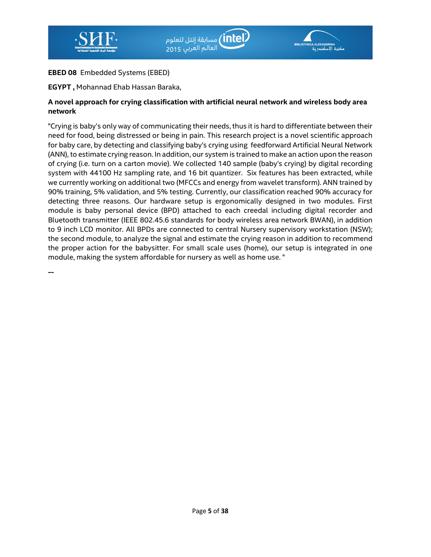

## **EBED 08** Embedded Systems (EBED)

### **EGYPT ,** Mohannad Ehab Hassan Baraka,

### **A novel approach for crying classification with artificial neural network and wireless body area network**

"Crying is baby's only way of communicating their needs, thus it is hard to differentiate between their need for food, being distressed or being in pain. This research project is a novel scientific approach for baby care, by detecting and classifying baby's crying using feedforward Artificial Neural Network (ANN), to estimate crying reason. In addition, our system is trained to make an action upon the reason of crying (i.e. turn on a carton movie). We collected 140 sample (baby's crying) by digital recording system with 44100 Hz sampling rate, and 16 bit quantizer. Six features has been extracted, while we currently working on additional two (MFCCs and energy from wavelet transform). ANN trained by 90% training, 5% validation, and 5% testing. Currently, our classification reached 90% accuracy for detecting three reasons. Our hardware setup is ergonomically designed in two modules. First module is baby personal device (BPD) attached to each creedal including digital recorder and Bluetooth transmitter (IEEE 802.45.6 standards for body wireless area network BWAN), in addition to 9 inch LCD monitor. All BPDs are connected to central Nursery supervisory workstation (NSW); the second module, to analyze the signal and estimate the crying reason in addition to recommend the proper action for the babysitter. For small scale uses (home), our setup is integrated in one module, making the system affordable for nursery as well as home use. "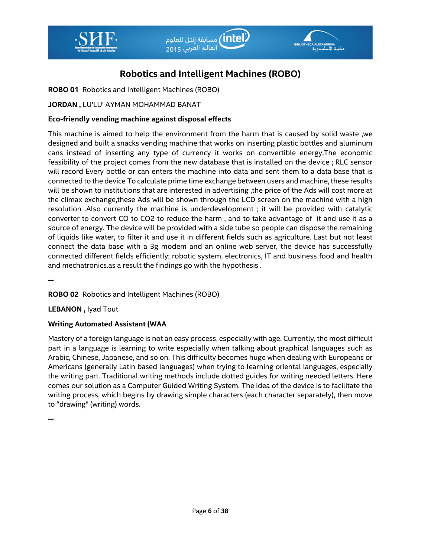



# **Robotics and Intelligent Machines (ROBO)**

**ROBO 01** Robotics and Intelligent Machines (ROBO)

## **JORDAN ,** LU'LU' AYMAN MOHAMMAD BANAT

### **Eco-friendly vending machine against disposal effects**

This machine is aimed to help the environment from the harm that is caused by solid waste ,we designed and built a snacks vending machine that works on inserting plastic bottles and aluminum cans instead of inserting any type of currency it works on convertible energy,The economic feasibility of the project comes from the new database that is installed on the device ; RLC sensor will record Every bottle or can enters the machine into data and sent them to a data base that is connected to the device To calculate prime time exchange between users and machine, these results will be shown to institutions that are interested in advertising ,the price of the Ads will cost more at the climax exchange,these Ads will be shown through the LCD screen on the machine with a high resolution .Also currently the machine is underdevelopment ; it will be provided with catalytic converter to convert CO to CO2 to reduce the harm , and to take advantage of it and use it as a source of energy. The device will be provided with a side tube so people can dispose the remaining of liquids like water, to filter it and use it in different fields such as agriculture. Last but not least connect the data base with a 3g modem and an online web server, the device has successfully connected different fields efficiently; robotic system, electronics, IT and business food and health and mechatronics.as a result the findings go with the hypothesis .

**--** 

**ROBO 02** Robotics and Intelligent Machines (ROBO)

**LEBANON ,** Iyad Tout

### **Writing Automated Assistant (WAA**

Mastery of a foreign language is not an easy process, especially with age. Currently, the most difficult part in a language is learning to write especially when talking about graphical languages such as Arabic, Chinese, Japanese, and so on. This difficulty becomes huge when dealing with Europeans or Americans (generally Latin based languages) when trying to learning oriental languages, especially the writing part. Traditional writing methods include dotted guides for writing needed letters. Here comes our solution as a Computer Guided Writing System. The idea of the device is to facilitate the writing process, which begins by drawing simple characters (each character separately), then move to "drawing" (writing) words.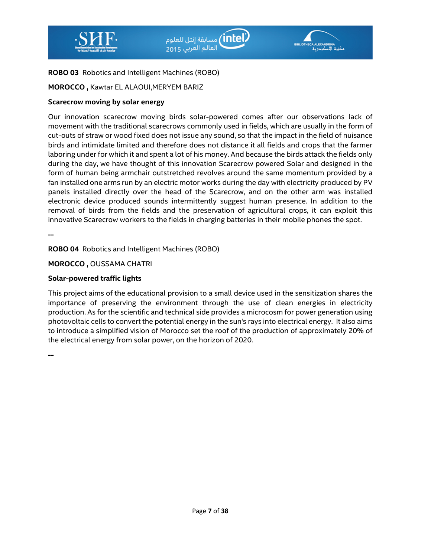



## **ROBO 03** Robotics and Intelligent Machines (ROBO)

## **MOROCCO ,** Kawtar EL ALAOUI,MERYEM BARIZ

#### **Scarecrow moving by solar energy**

Our innovation scarecrow moving birds solar-powered comes after our observations lack of movement with the traditional scarecrows commonly used in fields, which are usually in the form of cut-outs of straw or wood fixed does not issue any sound, so that the impact in the field of nuisance birds and intimidate limited and therefore does not distance it all fields and crops that the farmer laboring under for which it and spent a lot of his money. And because the birds attack the fields only during the day, we have thought of this innovation Scarecrow powered Solar and designed in the form of human being armchair outstretched revolves around the same momentum provided by a fan installed one arms run by an electric motor works during the day with electricity produced by PV panels installed directly over the head of the Scarecrow, and on the other arm was installed electronic device produced sounds intermittently suggest human presence. In addition to the removal of birds from the fields and the preservation of agricultural crops, it can exploit this innovative Scarecrow workers to the fields in charging batteries in their mobile phones the spot.

**--** 

**ROBO 04** Robotics and Intelligent Machines (ROBO)

**MOROCCO ,** OUSSAMA CHATRI

#### **Solar-powered traffic lights**

This project aims of the educational provision to a small device used in the sensitization shares the importance of preserving the environment through the use of clean energies in electricity production. As for the scientific and technical side provides a microcosm for power generation using photovoltaic cells to convert the potential energy in the sun's rays into electrical energy. It also aims to introduce a simplified vision of Morocco set the roof of the production of approximately 20% of the electrical energy from solar power, on the horizon of 2020.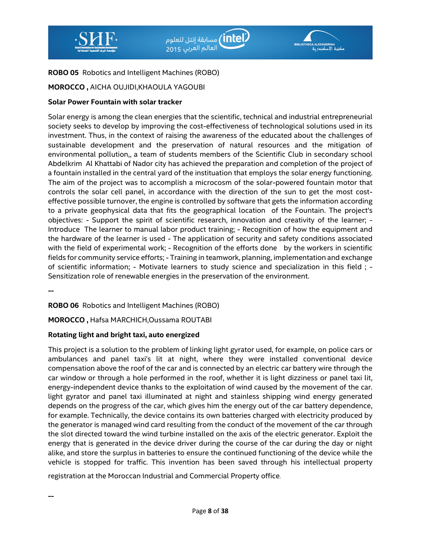



## **ROBO 05** Robotics and Intelligent Machines (ROBO)

## **MOROCCO ,** AICHA OUJIDI,KHAOULA YAGOUBI

#### **Solar Power Fountain with solar tracker**

Solar energy is among the clean energies that the scientific, technical and industrial entrepreneurial society seeks to develop by improving the cost-effectiveness of technological solutions used in its investment. Thus, in the context of raising the awareness of the educated about the challenges of sustainable development and the preservation of natural resources and the mitigation of environmental pollution,, a team of students members of the Scientific Club in secondary school Abdelkrim Al Khattabi of Nador city has achieved the preparation and completion of the project of a fountain installed in the central yard of the instituation that employs the solar energy functioning. The aim of the project was to accomplish a microcosm of the solar-powered fountain motor that controls the solar cell panel, in accordance with the direction of the sun to get the most costeffective possible turnover, the engine is controlled by software that gets the information according to a private geophysical data that fits the geographical location of the Fountain. The project's objectives: - Support the spirit of scientific research, innovation and creativity of the learner; - Introduce The learner to manual labor product training; - Recognition of how the equipment and the hardware of the learner is used - The application of security and safety conditions associated with the field of experimental work; - Recognition of the efforts done by the workers in scientific fields for community service efforts; - Training in teamwork, planning, implementation and exchange of scientific information; - Motivate learners to study science and specialization in this field ; - Sensitization role of renewable energies in the preservation of the environment.

**--** 

**--** 

**ROBO 06** Robotics and Intelligent Machines (ROBO)

**MOROCCO ,** Hafsa MARCHICH,Oussama ROUTABI

### **Rotating light and bright taxi, auto energized**

This project is a solution to the problem of linking light gyrator used, for example, on police cars or ambulances and panel taxi's lit at night, where they were installed conventional device compensation above the roof of the car and is connected by an electric car battery wire through the car window or through a hole performed in the roof, whether it is light dizziness or panel taxi lit, energy-independent device thanks to the exploitation of wind caused by the movement of the car. light gyrator and panel taxi illuminated at night and stainless shipping wind energy generated depends on the progress of the car, which gives him the energy out of the car battery dependence, for example. Technically, the device contains its own batteries charged with electricity produced by the generator is managed wind card resulting from the conduct of the movement of the car through the slot directed toward the wind turbine installed on the axis of the electric generator. Exploit the energy that is generated in the device driver during the course of the car during the day or night alike, and store the surplus in batteries to ensure the continued functioning of the device while the vehicle is stopped for traffic. This invention has been saved through his intellectual property

registration at the Moroccan Industrial and Commercial Property office.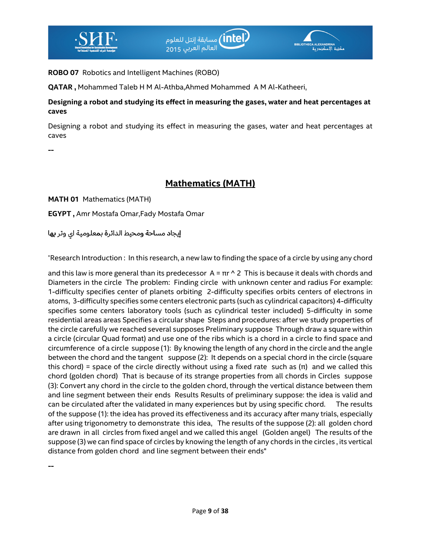

**ROBO 07** Robotics and Intelligent Machines (ROBO)

**QATAR ,** Mohammed Taleb H M Al-Athba,Ahmed Mohammed A M Al-Katheeri,

**Designing a robot and studying its effect in measuring the gases, water and heat percentages at caves** 

Designing a robot and studying its effect in measuring the gases, water and heat percentages at caves

**--** 

# **Mathematics (MATH)**

**MATH 01** Mathematics (MATH)

**EGYPT ,** Amr Mostafa Omar,Fady Mostafa Omar

إيجاد مساحة ومحيط الدائرة بمعلومية اي وتر بها

"Research Introduction : In this research, a new law to finding the space of a circle by using any chord

and this law is more general than its predecessor  $A = \pi r \wedge 2$  This is because it deals with chords and Diameters in the circle The problem: Finding circle with unknown center and radius For example: 1-difficulty specifies center of planets orbiting 2-difficulty specifies orbits centers of electrons in atoms, 3-difficulty specifies some centers electronic parts (such as cylindrical capacitors) 4-difficulty specifies some centers laboratory tools (such as cylindrical tester included) 5-difficulty in some residential areas areas Specifies a circular shape Steps and procedures: after we study properties of the circle carefully we reached several supposes Preliminary suppose Through draw a square within a circle (circular Quad format) and use one of the ribs which is a chord in a circle to find space and circumference of a circle suppose (1): By knowing the length of any chord in the circle and the angle between the chord and the tangent suppose (2): It depends on a special chord in the circle (square this chord) = space of the circle directly without using a fixed rate such as  $(π)$  and we called this chord (golden chord) That is because of its strange properties from all chords in Circles suppose (3): Convert any chord in the circle to the golden chord, through the vertical distance between them and line segment between their ends Results Results of preliminary suppose: the idea is valid and can be circulated after the validated in many experiences but by using specific chord. The results of the suppose (1): the idea has proved its effectiveness and its accuracy after many trials, especially after using trigonometry to demonstrate this idea, The results of the suppose (2): all golden chord are drawn in all circles from fixed angel and we called this angel (Golden angel) The results of the suppose (3) we can find space of circles by knowing the length of any chords in the circles , its vertical distance from golden chord and line segment between their ends"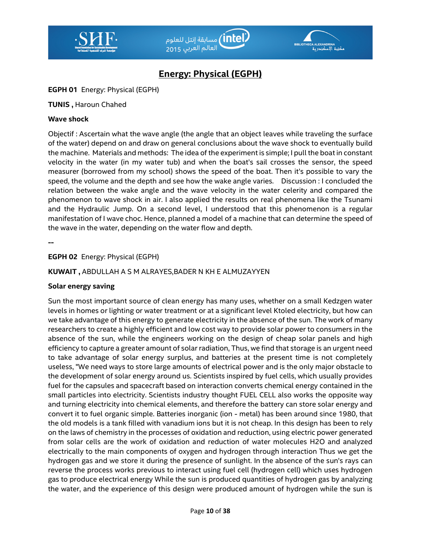



# **Energy: Physical (EGPH)**

#### **EGPH 01** Energy: Physical (EGPH)

#### **TUNIS ,** Haroun Chahed

#### **Wave shock**

Objectif : Ascertain what the wave angle (the angle that an object leaves while traveling the surface of the water) depend on and draw on general conclusions about the wave shock to eventually build the machine. Materials and methods: The idea of the experiment is simple; I pull the boat in constant velocity in the water (in my water tub) and when the boat's sail crosses the sensor, the speed measurer (borrowed from my school) shows the speed of the boat. Then it's possible to vary the speed, the volume and the depth and see how the wake angle varies. Discussion : I concluded the relation between the wake angle and the wave velocity in the water celerity and compared the phenomenon to wave shock in air. I also applied the results on real phenomena like the Tsunami and the Hydraulic Jump. On a second level, I understood that this phenomenon is a regular manifestation of I wave choc. Hence, planned a model of a machine that can determine the speed of the wave in the water, depending on the water flow and depth.

**--** 

#### **EGPH 02** Energy: Physical (EGPH)

#### **KUWAIT ,** ABDULLAH A S M ALRAYES,BADER N KH E ALMUZAYYEN

#### **Solar energy saving**

Sun the most important source of clean energy has many uses, whether on a small Kedzgen water levels in homes or lighting or water treatment or at a significant level Ktoled electricity, but how can we take advantage of this energy to generate electricity in the absence of the sun. The work of many researchers to create a highly efficient and low cost way to provide solar power to consumers in the absence of the sun, while the engineers working on the design of cheap solar panels and high efficiency to capture a greater amount of solar radiation, Thus, we find that storage is an urgent need to take advantage of solar energy surplus, and batteries at the present time is not completely useless, "We need ways to store large amounts of electrical power and is the only major obstacle to the development of solar energy around us. Scientists inspired by fuel cells, which usually provides fuel for the capsules and spacecraft based on interaction converts chemical energy contained in the small particles into electricity. Scientists industry thought FUEL CELL also works the opposite way and turning electricity into chemical elements, and therefore the battery can store solar energy and convert it to fuel organic simple. Batteries inorganic (ion - metal) has been around since 1980, that the old models is a tank filled with vanadium ions but it is not cheap. In this design has been to rely on the laws of chemistry in the processes of oxidation and reduction, using electric power generated from solar cells are the work of oxidation and reduction of water molecules H2O and analyzed electrically to the main components of oxygen and hydrogen through interaction Thus we get the hydrogen gas and we store it during the presence of sunlight. In the absence of the sun's rays can reverse the process works previous to interact using fuel cell (hydrogen cell) which uses hydrogen gas to produce electrical energy While the sun is produced quantities of hydrogen gas by analyzing the water, and the experience of this design were produced amount of hydrogen while the sun is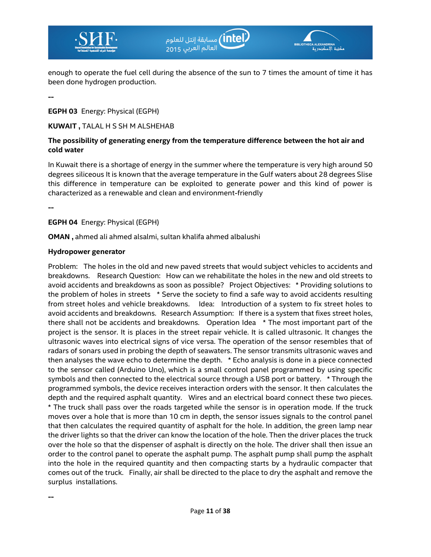



enough to operate the fuel cell during the absence of the sun to 7 times the amount of time it has been done hydrogen production.

**--** 

**EGPH 03** Energy: Physical (EGPH)

**KUWAIT ,** TALAL H S SH M ALSHEHAB

### **The possibility of generating energy from the temperature difference between the hot air and cold water**

In Kuwait there is a shortage of energy in the summer where the temperature is very high around 50 degrees siliceous It is known that the average temperature in the Gulf waters about 28 degrees Slise this difference in temperature can be exploited to generate power and this kind of power is characterized as a renewable and clean and environment-friendly

**--** 

**--** 

**EGPH 04** Energy: Physical (EGPH)

**OMAN ,** ahmed ali ahmed alsalmi, sultan khalifa ahmed albalushi

#### **Hydropower generator**

Problem: The holes in the old and new paved streets that would subject vehicles to accidents and breakdowns. Research Question: How can we rehabilitate the holes in the new and old streets to avoid accidents and breakdowns as soon as possible? Project Objectives: \* Providing solutions to the problem of holes in streets \* Serve the society to find a safe way to avoid accidents resulting from street holes and vehicle breakdowns. Idea: Introduction of a system to fix street holes to avoid accidents and breakdowns. Research Assumption: If there is a system that fixes street holes, there shall not be accidents and breakdowns. Operation Idea \* The most important part of the project is the sensor. It is places in the street repair vehicle. It is called ultrasonic. It changes the ultrasonic waves into electrical signs of vice versa. The operation of the sensor resembles that of radars of sonars used in probing the depth of seawaters. The sensor transmits ultrasonic waves and then analyses the wave echo to determine the depth. \* Echo analysis is done in a piece connected to the sensor called (Arduino Uno), which is a small control panel programmed by using specific symbols and then connected to the electrical source through a USB port or battery. \* Through the programmed symbols, the device receives interaction orders with the sensor. It then calculates the depth and the required asphalt quantity. Wires and an electrical board connect these two pieces. \* The truck shall pass over the roads targeted while the sensor is in operation mode. If the truck moves over a hole that is more than 10 cm in depth, the sensor issues signals to the control panel that then calculates the required quantity of asphalt for the hole. In addition, the green lamp near the driver lights so that the driver can know the location of the hole. Then the driver places the truck over the hole so that the dispenser of asphalt is directly on the hole. The driver shall then issue an order to the control panel to operate the asphalt pump. The asphalt pump shall pump the asphalt into the hole in the required quantity and then compacting starts by a hydraulic compacter that comes out of the truck. Finally, air shall be directed to the place to dry the asphalt and remove the surplus installations.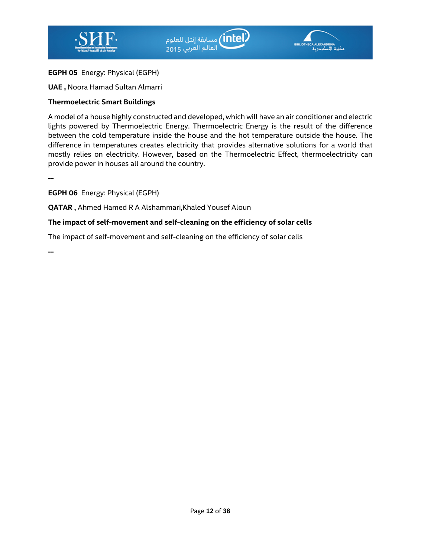

#### **EGPH 05** Energy: Physical (EGPH)

#### **UAE ,** Noora Hamad Sultan Almarri

#### **Thermoelectric Smart Buildings**

A model of a house highly constructed and developed, which will have an air conditioner and electric lights powered by Thermoelectric Energy. Thermoelectric Energy is the result of the difference between the cold temperature inside the house and the hot temperature outside the house. The difference in temperatures creates electricity that provides alternative solutions for a world that mostly relies on electricity. However, based on the Thermoelectric Effect, thermoelectricity can provide power in houses all around the country.

**--** 

**EGPH 06** Energy: Physical (EGPH)

**QATAR ,** Ahmed Hamed R A Alshammari,Khaled Yousef Aloun

#### **The impact of self-movement and self-cleaning on the efficiency of solar cells**

The impact of self-movement and self-cleaning on the efficiency of solar cells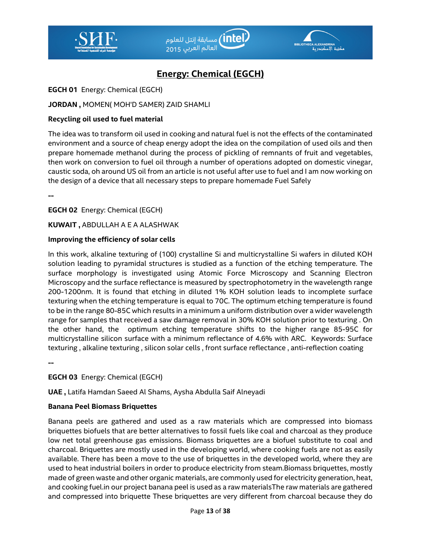



# **Energy: Chemical (EGCH)**

**EGCH 01** Energy: Chemical (EGCH)

## **JORDAN ,** MOMEN( MOH'D SAMER) ZAID SHAMLI

## **Recycling oil used to fuel material**

The idea was to transform oil used in cooking and natural fuel is not the effects of the contaminated environment and a source of cheap energy adopt the idea on the compilation of used oils and then prepare homemade methanol during the process of pickling of remnants of fruit and vegetables, then work on conversion to fuel oil through a number of operations adopted on domestic vinegar, caustic soda, oh around US oil from an article is not useful after use to fuel and I am now working on the design of a device that all necessary steps to prepare homemade Fuel Safely

**--** 

**EGCH 02** Energy: Chemical (EGCH)

**KUWAIT ,** ABDULLAH A E A ALASHWAK

## **Improving the efficiency of solar cells**

In this work, alkaline texturing of (100) crystalline Si and multicrystalline Si wafers in diluted KOH solution leading to pyramidal structures is studied as a function of the etching temperature. The surface morphology is investigated using Atomic Force Microscopy and Scanning Electron Microscopy and the surface reflectance is measured by spectrophotometry in the wavelength range 200-1200nm. It is found that etching in diluted 1% KOH solution leads to incomplete surface texturing when the etching temperature is equal to 70C. The optimum etching temperature is found to be in the range 80-85C which results in a minimum a uniform distribution over a wider wavelength range for samples that received a saw damage removal in 30% KOH solution prior to texturing . On the other hand, the optimum etching temperature shifts to the higher range 85-95C for multicrystalline silicon surface with a minimum reflectance of 4.6% with ARC. Keywords: Surface texturing , alkaline texturing , silicon solar cells , front surface reflectance , anti-reflection coating

**--** 

# **EGCH 03** Energy: Chemical (EGCH)

**UAE ,** Latifa Hamdan Saeed Al Shams, Aysha Abdulla Saif Alneyadi

### **Banana Peel Biomass Briquettes**

Banana peels are gathered and used as a raw materials which are compressed into biomass briquettes biofuels that are better alternatives to fossil fuels like coal and charcoal as they produce low net total greenhouse gas emissions. Biomass briquettes are a biofuel substitute to coal and charcoal. Briquettes are mostly used in the developing world, where cooking fuels are not as easily available. There has been a move to the use of briquettes in the developed world, where they are used to heat industrial boilers in order to produce electricity from steam.Biomass briquettes, mostly made of green waste and other organic materials, are commonly used for electricity generation, heat, and cooking fuel.in our project banana peel is used as a raw materialsThe raw materials are gathered and compressed into briquette These briquettes are very different from charcoal because they do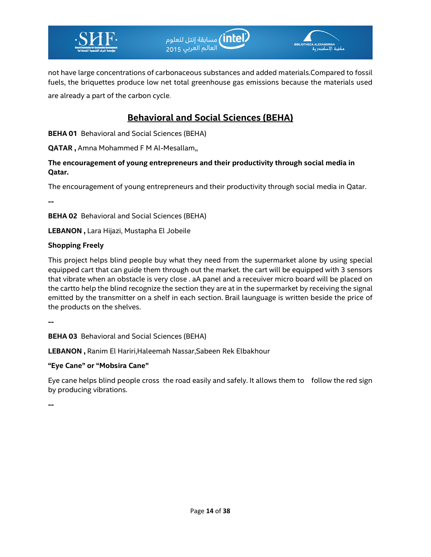

not have large concentrations of carbonaceous substances and added materials.Compared to fossil fuels, the briquettes produce low net total greenhouse gas emissions because the materials used are already a part of the carbon cycle.

# **Behavioral and Social Sciences (BEHA)**

**BEHA 01** Behavioral and Social Sciences (BEHA)

**QATAR ,** Amna Mohammed F M Al-Mesallam,,

**The encouragement of young entrepreneurs and their productivity through social media in Qatar.** 

The encouragement of young entrepreneurs and their productivity through social media in Qatar.

**--** 

**BEHA 02** Behavioral and Social Sciences (BEHA)

**LEBANON ,** Lara Hijazi, Mustapha El Jobeile

## **Shopping Freely**

This project helps blind people buy what they need from the supermarket alone by using special equipped cart that can guide them through out the market. the cart will be equipped with 3 sensors that vibrate when an obstacle is very close . aA panel and a receuiver micro board will be placed on the cartto help the blind recognize the section they are at in the supermarket by receiving the signal emitted by the transmitter on a shelf in each section. Brail launguage is written beside the price of the products on the shelves.

**--** 

**BEHA 03** Behavioral and Social Sciences (BEHA)

**LEBANON ,** Ranim El Hariri,Haleemah Nassar,Sabeen Rek Elbakhour

### **"Eye Cane" or "Mobsira Cane"**

Eye cane helps blind people cross the road easily and safely. It allows them to follow the red sign by producing vibrations.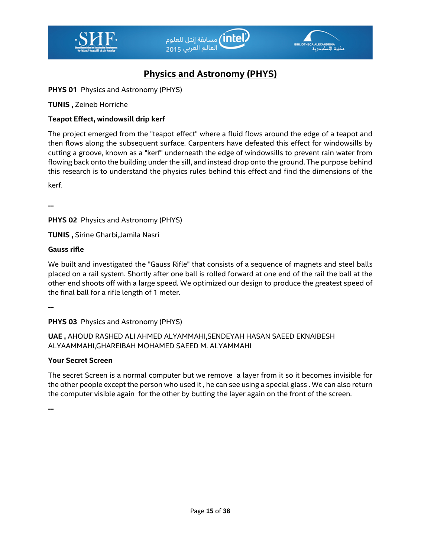



# **Physics and Astronomy (PHYS)**

**PHYS 01** Physics and Astronomy (PHYS)

**TUNIS ,** Zeineb Horriche

## **Teapot Effect, windowsill drip kerf**

The project emerged from the "teapot effect" where a fluid flows around the edge of a teapot and then flows along the subsequent surface. Carpenters have defeated this effect for windowsills by cutting a groove, known as a "kerf" underneath the edge of windowsills to prevent rain water from flowing back onto the building under the sill, and instead drop onto the ground. The purpose behind this research is to understand the physics rules behind this effect and find the dimensions of the

kerf.

**--** 

**PHYS 02** Physics and Astronomy (PHYS)

**TUNIS ,** Sirine Gharbi,Jamila Nasri

### **Gauss rifle**

We built and investigated the "Gauss Rifle" that consists of a sequence of magnets and steel balls placed on a rail system. Shortly after one ball is rolled forward at one end of the rail the ball at the other end shoots off with a large speed. We optimized our design to produce the greatest speed of the final ball for a rifle length of 1 meter.

**--** 

**PHYS 03** Physics and Astronomy (PHYS)

**UAE ,** AHOUD RASHED ALI AHMED ALYAMMAHI,SENDEYAH HASAN SAEED EKNAIBESH ALYAAMMAHI,GHAREIBAH MOHAMED SAEED M. ALYAMMAHI

### **Your Secret Screen**

The secret Screen is a normal computer but we remove a layer from it so it becomes invisible for the other people except the person who used it , he can see using a special glass . We can also return the computer visible again for the other by butting the layer again on the front of the screen.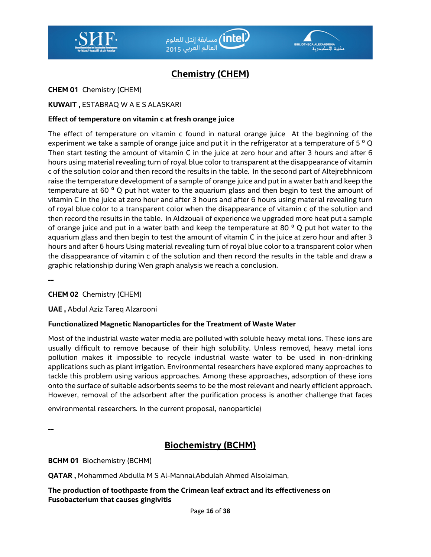



# **Chemistry (CHEM)**

**CHEM 01** Chemistry (CHEM)

### **KUWAIT ,** ESTABRAQ W A E S ALASKARI

#### **Effect of temperature on vitamin c at fresh orange juice**

The effect of temperature on vitamin c found in natural orange juice At the beginning of the experiment we take a sample of orange juice and put it in the refrigerator at a temperature of 5  $^{\circ}$  Q Then start testing the amount of vitamin C in the juice at zero hour and after 3 hours and after 6 hours using material revealing turn of royal blue color to transparent at the disappearance of vitamin c of the solution color and then record the results in the table. In the second part of Altejrebhnicom raise the temperature development of a sample of orange juice and put in a water bath and keep the temperature at 60 $^{\circ}$  Q put hot water to the aquarium glass and then begin to test the amount of vitamin C in the juice at zero hour and after 3 hours and after 6 hours using material revealing turn of royal blue color to a transparent color when the disappearance of vitamin c of the solution and then record the results in the table. In Aldzouaii of experience we upgraded more heat put a sample of orange juice and put in a water bath and keep the temperature at 80 $^{\circ}$  Q put hot water to the aquarium glass and then begin to test the amount of vitamin C in the juice at zero hour and after 3 hours and after 6 hours Using material revealing turn of royal blue color to a transparent color when the disappearance of vitamin c of the solution and then record the results in the table and draw a graphic relationship during Wen graph analysis we reach a conclusion.

**--** 

**CHEM 02** Chemistry (CHEM)

**UAE ,** Abdul Aziz Tareq Alzarooni

### **Functionalized Magnetic Nanoparticles for the Treatment of Waste Water**

Most of the industrial waste water media are polluted with soluble heavy metal ions. These ions are usually difficult to remove because of their high solubility. Unless removed, heavy metal ions pollution makes it impossible to recycle industrial waste water to be used in non-drinking applications such as plant irrigation. Environmental researchers have explored many approaches to tackle this problem using various approaches. Among these approaches, adsorption of these ions onto the surface of suitable adsorbents seems to be the most relevant and nearly efficient approach. However, removal of the adsorbent after the purification process is another challenge that faces

environmental researchers. In the current proposal, nanoparticle)

**--** 

# **Biochemistry (BCHM)**

**BCHM 01** Biochemistry (BCHM)

**QATAR ,** Mohammed Abdulla M S Al-Mannai,Abdulah Ahmed Alsolaiman,

**The production of toothpaste from the Crimean leaf extract and its effectiveness on Fusobacterium that causes gingivitis**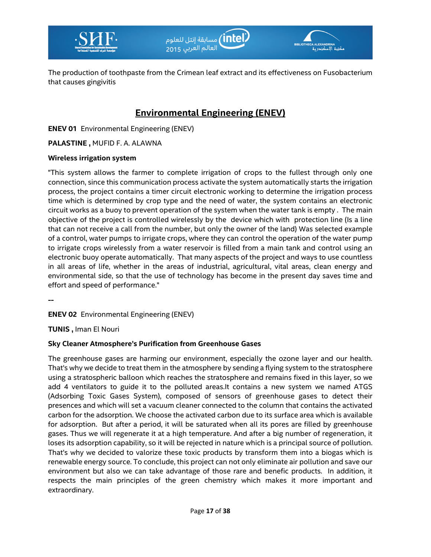



The production of toothpaste from the Crimean leaf extract and its effectiveness on Fusobacterium that causes gingivitis

# **Environmental Engineering (ENEV)**

**ENEV 01** Environmental Engineering (ENEV)

**PALASTINE ,** MUFID F. A. ALAWNA

#### **Wireless irrigation system**

"This system allows the farmer to complete irrigation of crops to the fullest through only one connection, since this communication process activate the system automatically starts the irrigation process, the project contains a timer circuit electronic working to determine the irrigation process time which is determined by crop type and the need of water, the system contains an electronic circuit works as a buoy to prevent operation of the system when the water tank is empty . The main objective of the project is controlled wirelessly by the device which with protection line (Is a line that can not receive a call from the number, but only the owner of the land) Was selected example of a control, water pumps to irrigate crops, where they can control the operation of the water pump to irrigate crops wirelessly from a water reservoir is filled from a main tank and control using an electronic buoy operate automatically. That many aspects of the project and ways to use countless in all areas of life, whether in the areas of industrial, agricultural, vital areas, clean energy and environmental side, so that the use of technology has become in the present day saves time and effort and speed of performance."

**--** 

**ENEV 02** Environmental Engineering (ENEV)

**TUNIS ,** Iman El Nouri

### **Sky Cleaner Atmosphere's Purification from Greenhouse Gases**

The greenhouse gases are harming our environment, especially the ozone layer and our health. That's why we decide to treat them in the atmosphere by sending a flying system to the stratosphere using a stratospheric balloon which reaches the stratosphere and remains fixed in this layer, so we add 4 ventilators to guide it to the polluted areas.It contains a new system we named ATGS (Adsorbing Toxic Gases System), composed of sensors of greenhouse gases to detect their presences and which will set a vacuum cleaner connected to the column that contains the activated carbon for the adsorption. We choose the activated carbon due to its surface area which is available for adsorption. But after a period, it will be saturated when all its pores are filled by greenhouse gases. Thus we will regenerate it at a high temperature. And after a big number of regeneration, it loses its adsorption capability, so it will be rejected in nature which is a principal source of pollution. That's why we decided to valorize these toxic products by transform them into a biogas which is renewable energy source. To conclude, this project can not only eliminate air pollution and save our environment but also we can take advantage of those rare and benefic products. In addition, it respects the main principles of the green chemistry which makes it more important and extraordinary.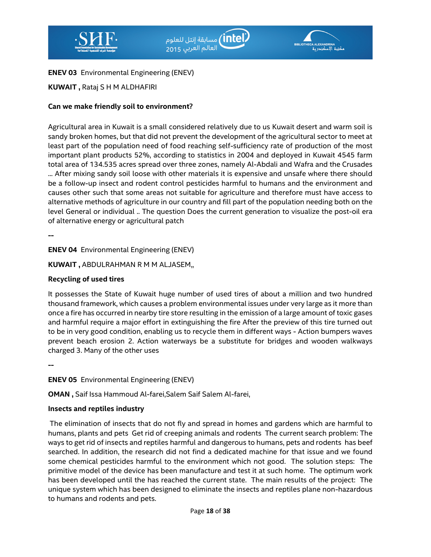



**ENEV 03** Environmental Engineering (ENEV)

**KUWAIT ,** Rataj S H M ALDHAFIRI

## **Can we make friendly soil to environment**?

Agricultural area in Kuwait is a small considered relatively due to us Kuwait desert and warm soil is sandy broken homes, but that did not prevent the development of the agricultural sector to meet at least part of the population need of food reaching self-sufficiency rate of production of the most important plant products 52%, according to statistics in 2004 and deployed in Kuwait 4545 farm total area of 134.535 acres spread over three zones, namely Al-Abdali and Wafra and the Crusades ... After mixing sandy soil loose with other materials it is expensive and unsafe where there should be a follow-up insect and rodent control pesticides harmful to humans and the environment and causes other such that some areas not suitable for agriculture and therefore must have access to alternative methods of agriculture in our country and fill part of the population needing both on the level General or individual .. The question Does the current generation to visualize the post-oil era of alternative energy or agricultural patch

**--** 

**ENEV 04** Environmental Engineering (ENEV)

**KUWAIT ,** ABDULRAHMAN R M M ALJASEM,,

### **Recycling of used tires**

It possesses the State of Kuwait huge number of used tires of about a million and two hundred thousand framework, which causes a problem environmental issues under very large as it more than once a fire has occurred in nearby tire store resulting in the emission of a large amount of toxic gases and harmful require a major effort in extinguishing the fire After the preview of this tire turned out to be in very good condition, enabling us to recycle them in different ways - Action bumpers waves prevent beach erosion 2. Action waterways be a substitute for bridges and wooden walkways charged 3. Many of the other uses

**--** 

**ENEV 05** Environmental Engineering (ENEV)

**OMAN ,** Saif Issa Hammoud Al-farei,Salem Saif Salem Al-farei,

### **Insects and reptiles industry**

 The elimination of insects that do not fly and spread in homes and gardens which are harmful to humans, plants and pets Get rid of creeping animals and rodents The current search problem: The ways to get rid of insects and reptiles harmful and dangerous to humans, pets and rodents has beef searched. In addition, the research did not find a dedicated machine for that issue and we found some chemical pesticides harmful to the environment which not good. The solution steps: The primitive model of the device has been manufacture and test it at such home. The optimum work has been developed until the has reached the current state. The main results of the project: The unique system which has been designed to eliminate the insects and reptiles plane non-hazardous to humans and rodents and pets.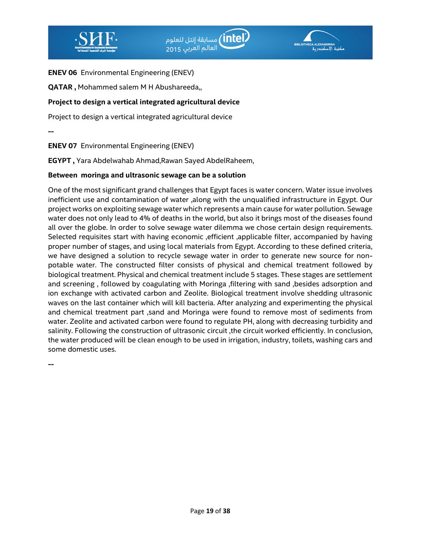



**ENEV 06** Environmental Engineering (ENEV)

**QATAR ,** Mohammed salem M H Abushareeda,,

#### **Project to design a vertical integrated agricultural device**

Project to design a vertical integrated agricultural device

**--** 

**ENEV 07** Environmental Engineering (ENEV)

**EGYPT ,** Yara Abdelwahab Ahmad,Rawan Sayed AbdelRaheem,

#### **Between moringa and ultrasonic sewage can be a solution**

One of the most significant grand challenges that Egypt faces is water concern. Water issue involves inefficient use and contamination of water ,along with the unqualified infrastructure in Egypt. Our project works on exploiting sewage water which represents a main cause for water pollution. Sewage water does not only lead to 4% of deaths in the world, but also it brings most of the diseases found all over the globe. In order to solve sewage water dilemma we chose certain design requirements. Selected requisites start with having economic , efficient , applicable filter, accompanied by having proper number of stages, and using local materials from Egypt. According to these defined criteria, we have designed a solution to recycle sewage water in order to generate new source for nonpotable water. The constructed filter consists of physical and chemical treatment followed by biological treatment. Physical and chemical treatment include 5 stages. These stages are settlement and screening , followed by coagulating with Moringa ,filtering with sand ,besides adsorption and ion exchange with activated carbon and Zeolite. Biological treatment involve shedding ultrasonic waves on the last container which will kill bacteria. After analyzing and experimenting the physical and chemical treatment part ,sand and Moringa were found to remove most of sediments from water. Zeolite and activated carbon were found to regulate PH, along with decreasing turbidity and salinity. Following the construction of ultrasonic circuit ,the circuit worked efficiently. In conclusion, the water produced will be clean enough to be used in irrigation, industry, toilets, washing cars and some domestic uses.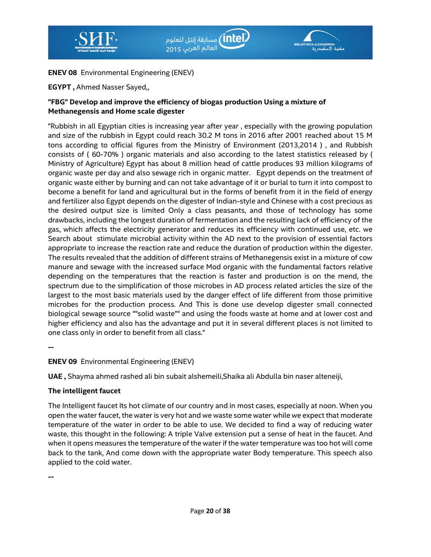



### **ENEV 08** Environmental Engineering (ENEV)

**EGYPT ,** Ahmed Nasser Sayed,,

# **"FBG" Develop and improve the efficiency of biogas production Using a mixture of Methanegensis and Home scale digester**

"Rubbish in all Egyptian cities is increasing year after year , especially with the growing population and size of the rubbish in Egypt could reach 30.2 M tons in 2016 after 2001 reached about 15 M tons according to official figures from the Ministry of Environment (2013,2014 ) , and Rubbish consists of ( 60-70% ) organic materials and also according to the latest statistics released by ( Ministry of Agriculture) Egypt has about 8 million head of cattle produces 93 million kilograms of organic waste per day and also sewage rich in organic matter. Egypt depends on the treatment of organic waste either by burning and can not take advantage of it or burial to turn it into compost to become a benefit for land and agricultural but in the forms of benefit from it in the field of energy and fertilizer also Egypt depends on the digester of Indian-style and Chinese with a cost precious as the desired output size is limited Only a class peasants, and those of technology has some drawbacks, including the longest duration of fermentation and the resulting lack of efficiency of the gas, which affects the electricity generator and reduces its efficiency with continued use, etc. we Search about stimulate microbial activity within the AD next to the provision of essential factors appropriate to increase the reaction rate and reduce the duration of production within the digester. The results revealed that the addition of different strains of Methanegensis exist in a mixture of cow manure and sewage with the increased surface Mod organic with the fundamental factors relative depending on the temperatures that the reaction is faster and production is on the mend, the spectrum due to the simplification of those microbes in AD process related articles the size of the largest to the most basic materials used by the danger effect of life different from those primitive microbes for the production process. And This is done use develop digester small connected biological sewage source ""solid waste"" and using the foods waste at home and at lower cost and higher efficiency and also has the advantage and put it in several different places is not limited to one class only in order to benefit from all class."

**--** 

**ENEV 09** Environmental Engineering (ENEV)

**UAE ,** Shayma ahmed rashed ali bin subait alshemeili,Shaika ali Abdulla bin naser alteneiji,

#### **The intelligent faucet**

The Intelligent faucet Its hot climate of our country and in most cases, especially at noon. When you open the water faucet, the water is very hot and we waste some water while we expect that moderate temperature of the water in order to be able to use. We decided to find a way of reducing water waste, this thought in the following: A triple Valve extension put a sense of heat in the faucet. And when it opens measures the temperature of the water if the water temperature was too hot will come back to the tank, And come down with the appropriate water Body temperature. This speech also applied to the cold water.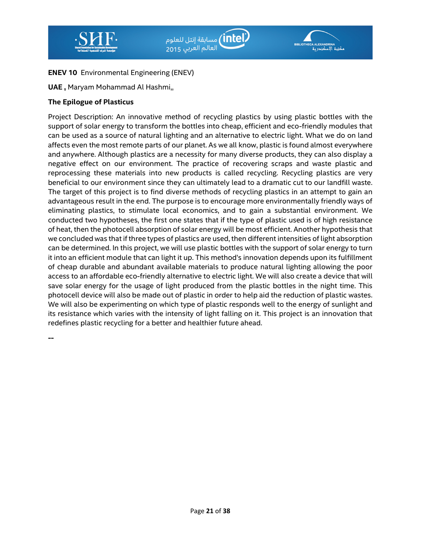



# **ENEV 10** Environmental Engineering (ENEV)

**UAE ,** Maryam Mohammad Al Hashmi,,

#### **The Epilogue of Plasticus**

Project Description: An innovative method of recycling plastics by using plastic bottles with the support of solar energy to transform the bottles into cheap, efficient and eco-friendly modules that can be used as a source of natural lighting and an alternative to electric light. What we do on land affects even the most remote parts of our planet. As we all know, plastic is found almost everywhere and anywhere. Although plastics are a necessity for many diverse products, they can also display a negative effect on our environment. The practice of recovering scraps and waste plastic and reprocessing these materials into new products is called recycling. Recycling plastics are very beneficial to our environment since they can ultimately lead to a dramatic cut to our landfill waste. The target of this project is to find diverse methods of recycling plastics in an attempt to gain an advantageous result in the end. The purpose is to encourage more environmentally friendly ways of eliminating plastics, to stimulate local economics, and to gain a substantial environment. We conducted two hypotheses, the first one states that if the type of plastic used is of high resistance of heat, then the photocell absorption of solar energy will be most efficient. Another hypothesis that we concluded was that if three types of plastics are used, then different intensities of light absorption can be determined. In this project, we will use plastic bottles with the support of solar energy to turn it into an efficient module that can light it up. This method's innovation depends upon its fulfillment of cheap durable and abundant available materials to produce natural lighting allowing the poor access to an affordable eco-friendly alternative to electric light. We will also create a device that will save solar energy for the usage of light produced from the plastic bottles in the night time. This photocell device will also be made out of plastic in order to help aid the reduction of plastic wastes. We will also be experimenting on which type of plastic responds well to the energy of sunlight and its resistance which varies with the intensity of light falling on it. This project is an innovation that redefines plastic recycling for a better and healthier future ahead.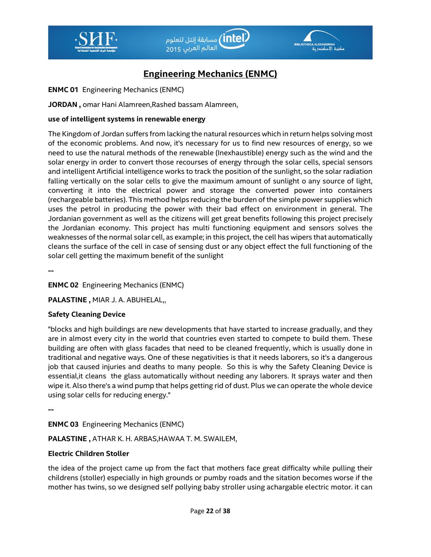



# **Engineering Mechanics (ENMC)**

**ENMC 01** Engineering Mechanics (ENMC)

**JORDAN ,** omar Hani Alamreen,Rashed bassam Alamreen,

#### **use of intelligent systems in renewable energy**

The Kingdom of Jordan suffers from lacking the natural resources which in return helps solving most of the economic problems. And now, it's necessary for us to find new resources of energy, so we need to use the natural methods of the renewable (Inexhaustible) energy such as the wind and the solar energy in order to convert those recourses of energy through the solar cells, special sensors and intelligent Artificial intelligence works to track the position of the sunlight, so the solar radiation falling vertically on the solar cells to give the maximum amount of sunlight o any source of light, converting it into the electrical power and storage the converted power into containers (rechargeable batteries). This method helps reducing the burden of the simple power supplies which uses the petrol in producing the power with their bad effect on environment in general. The Jordanian government as well as the citizens will get great benefits following this project precisely the Jordanian economy. This project has multi functioning equipment and sensors solves the weaknesses of the normal solar cell, as example; in this project, the cell has wipers that automatically cleans the surface of the cell in case of sensing dust or any object effect the full functioning of the solar cell getting the maximum benefit of the sunlight

**--** 

### **ENMC 02** Engineering Mechanics (ENMC)

**PALASTINE ,** MIAR J. A. ABUHELAL,,

#### **Safety Cleaning Device**

"blocks and high buildings are new developments that have started to increase gradually, and they are in almost every city in the world that countries even started to compete to build them. These building are often with glass facades that need to be cleaned frequently, which is usually done in traditional and negative ways. One of these negativities is that it needs laborers, so it's a dangerous job that caused injuries and deaths to many people. So this is why the Safety Cleaning Device is essential,it cleans the glass automatically without needing any laborers. It sprays water and then wipe it. Also there's a wind pump that helps getting rid of dust. Plus we can operate the whole device using solar cells for reducing energy."

**--** 

**ENMC 03** Engineering Mechanics (ENMC)

**PALASTINE ,** ATHAR K. H. ARBAS,HAWAA T. M. SWAILEM,

### **Electric Children Stoller**

the idea of the project came up from the fact that mothers face great difficalty while pulling their childrens (stoller) especially in high grounds or pumby roads and the sitation becomes worse if the mother has twins, so we designed self pollying baby stroller using achargable electric motor. it can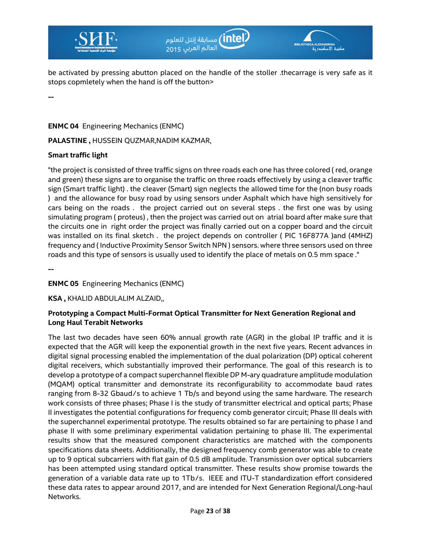



be activated by pressing abutton placed on the handle of the stoller .thecarrage is very safe as it stops copmletely when the hand is off the button>

**--** 

**ENMC 04** Engineering Mechanics (ENMC)

PALASTINE, HUSSEIN QUZMAR,NADIM KAZMAR,

#### **Smart traffic light**

"the project is consisted of three traffic signs on three roads each one has three colored ( red, orange and green) these signs are to organise the traffic on three roads effectively by using a cleaver traffic sign (Smart traffic light) . the cleaver (Smart) sign neglects the allowed time for the (non busy roads ) and the allowance for busy road by using sensors under Asphalt which have high sensitively for cars being on the roads . the project carried out on several steps . the first one was by using simulating program ( proteus) , then the project was carried out on atrial board after make sure that the circuits one in right order the project was finally carried out on a copper board and the circuit was installed on its final sketch . the project depends on controller ( PIC 16F877A )and (4MHZ) frequency and ( Inductive Proximity Sensor Switch NPN ) sensors. where three sensors used on three roads and this type of sensors is usually used to identify the place of metals on 0.5 mm space ."

**--** 

### **ENMC 05** Engineering Mechanics (ENMC)

**KSA ,** KHALID ABDULALIM ALZAID,,

#### **Prototyping a Compact Multi-Format Optical Transmitter for Next Generation Regional and Long Haul Terabit Networks**

The last two decades have seen 60% annual growth rate (AGR) in the global IP traffic and it is expected that the AGR will keep the exponential growth in the next five years. Recent advances in digital signal processing enabled the implementation of the dual polarization (DP) optical coherent digital receivers, which substantially improved their performance. The goal of this research is to develop a prototype of a compact superchannel flexible DP M-ary quadrature amplitude modulation (MQAM) optical transmitter and demonstrate its reconfigurability to accommodate baud rates ranging from 8-32 Gbaud∕s to achieve 1 Tb/s and beyond using the same hardware. The research work consists of three phases; Phase I is the study of transmitter electrical and optical parts; Phase II investigates the potential configurations for frequency comb generator circuit; Phase III deals with the superchannel experimental prototype. The results obtained so far are pertaining to phase I and phase II with some preliminary experimental validation pertaining to phase III. The experimental results show that the measured component characteristics are matched with the components specifications data sheets. Additionally, the designed frequency comb generator was able to create up to 9 optical subcarriers with flat gain of 0.5 dB amplitude. Transmission over optical subcarriers has been attempted using standard optical transmitter. These results show promise towards the generation of a variable data rate up to 1Tb∕s. IEEE and ITU-T standardization effort considered these data rates to appear around 2017, and are intended for Next Generation Regional/Long-haul Networks.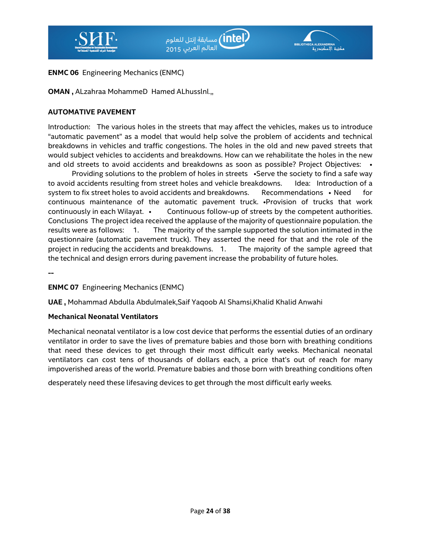



#### **ENMC 06** Engineering Mechanics (ENMC)

**OMAN ,** ALzahraa MohammeD Hamed ALhusslnl.,,

#### **AUTOMATIVE PAVEMENT**

Introduction: The various holes in the streets that may affect the vehicles, makes us to introduce "automatic pavement" as a model that would help solve the problem of accidents and technical breakdowns in vehicles and traffic congestions. The holes in the old and new paved streets that would subject vehicles to accidents and breakdowns. How can we rehabilitate the holes in the new and old streets to avoid accidents and breakdowns as soon as possible? Project Objectives: •

Providing solutions to the problem of holes in streets •Serve the society to find a safe way to avoid accidents resulting from street holes and vehicle breakdowns. Idea: Introduction of a system to fix street holes to avoid accidents and breakdowns. Recommendations • Need for continuous maintenance of the automatic pavement truck. •Provision of trucks that work continuously in each Wilayat. • Continuous follow-up of streets by the competent authorities. Conclusions The project idea received the applause of the majority of questionnaire population. the results were as follows: 1. The majority of the sample supported the solution intimated in the questionnaire (automatic pavement truck). They asserted the need for that and the role of the project in reducing the accidents and breakdowns. 1. The majority of the sample agreed that the technical and design errors during pavement increase the probability of future holes.

**--** 

### **ENMC 07** Engineering Mechanics (ENMC)

**UAE ,** Mohammad Abdulla Abdulmalek,Saif Yaqoob Al Shamsi,Khalid Khalid Anwahi

#### **Mechanical Neonatal Ventilators**

Mechanical neonatal ventilator is a low cost device that performs the essential duties of an ordinary ventilator in order to save the lives of premature babies and those born with breathing conditions that need these devices to get through their most difficult early weeks. Mechanical neonatal ventilators can cost tens of thousands of dollars each, a price that's out of reach for many impoverished areas of the world. Premature babies and those born with breathing conditions often

desperately need these lifesaving devices to get through the most difficult early weeks.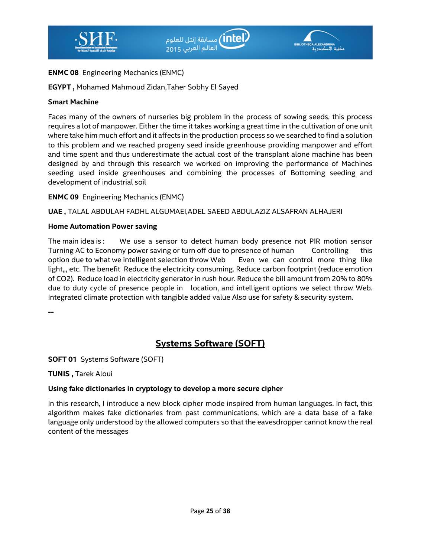

## **ENMC 08** Engineering Mechanics (ENMC)

**EGYPT ,** Mohamed Mahmoud Zidan,Taher Sobhy El Sayed

#### **Smart Machine**

Faces many of the owners of nurseries big problem in the process of sowing seeds, this process requires a lot of manpower. Either the time it takes working a great time in the cultivation of one unit where take him much effort and it affects in the production process so we searched to find a solution to this problem and we reached progeny seed inside greenhouse providing manpower and effort and time spent and thus underestimate the actual cost of the transplant alone machine has been designed by and through this research we worked on improving the performance of Machines seeding used inside greenhouses and combining the processes of Bottoming seeding and development of industrial soil

**ENMC 09** Engineering Mechanics (ENMC)

**UAE ,** TALAL ABDULAH FADHL ALGUMAEI,ADEL SAEED ABDULAZIZ ALSAFRAN ALHAJERI

#### **Home Automation Power saving**

The main idea is : We use a sensor to detect human body presence not PIR motion sensor Turning AC to Economy power saving or turn off due to presence of human Controlling this option due to what we intelligent selection throw Web Even we can control more thing like light,,, etc. The benefit Reduce the electricity consuming. Reduce carbon footprint (reduce emotion of CO2). Reduce load in electricity generator in rush hour. Reduce the bill amount from 20% to 80% due to duty cycle of presence people in location, and intelligent options we select throw Web. Integrated climate protection with tangible added value Also use for safety & security system.

**--** 

# **Systems Software (SOFT)**

**SOFT 01** Systems Software (SOFT)

**TUNIS ,** Tarek Aloui

### **Using fake dictionaries in cryptology to develop a more secure cipher**

In this research, I introduce a new block cipher mode inspired from human languages. In fact, this algorithm makes fake dictionaries from past communications, which are a data base of a fake language only understood by the allowed computers so that the eavesdropper cannot know the real content of the messages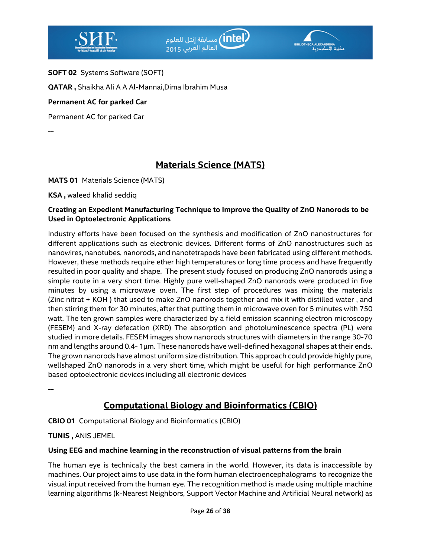



**SOFT 02** Systems Software (SOFT)

**QATAR ,** Shaikha Ali A A Al-Mannai,Dima Ibrahim Musa

### **Permanent AC for parked Car**

Permanent AC for parked Car

**--** 

# **Materials Science (MATS)**

**MATS 01** Materials Science (MATS)

**KSA ,** waleed khalid seddiq

#### **Creating an Expedient Manufacturing Technique to Improve the Quality of ZnO Nanorods to be Used in Optoelectronic Applications**

Industry efforts have been focused on the synthesis and modification of ZnO nanostructures for different applications such as electronic devices. Different forms of ZnO nanostructures such as nanowires, nanotubes, nanorods, and nanotetrapods have been fabricated using different methods. However, these methods require ether high temperatures or long time process and have frequently resulted in poor quality and shape. The present study focused on producing ZnO nanorods using a simple route in a very short time. Highly pure well-shaped ZnO nanorods were produced in five minutes by using a microwave oven. The first step of procedures was mixing the materials (Zinc nitrat + KOH ) that used to make ZnO nanorods together and mix it with distilled water , and then stirring them for 30 minutes, after that putting them in microwave oven for 5 minutes with 750 watt. The ten grown samples were characterized by a field emission scanning electron microscopy (FESEM) and X-ray defecation (XRD) The absorption and photoluminescence spectra (PL) were studied in more details. FESEM images show nanorods structures with diameters in the range 30-70 nm and lengths around 0.4- 1μm. These nanorods have well-defined hexagonal shapes at their ends. The grown nanorods have almost uniform size distribution. This approach could provide highly pure, wellshaped ZnO nanorods in a very short time, which might be useful for high performance ZnO based optoelectronic devices including all electronic devices

**--** 

# **Computational Biology and Bioinformatics (CBIO)**

**CBIO 01** Computational Biology and Bioinformatics (CBIO)

**TUNIS ,** ANIS JEMEL

### **Using EEG and machine learning in the reconstruction of visual patterns from the brain**

The human eye is technically the best camera in the world. However, its data is inaccessible by machines. Our project aims to use data in the form human electroencephalograms to recognize the visual input received from the human eye. The recognition method is made using multiple machine learning algorithms (k-Nearest Neighbors, Support Vector Machine and Artificial Neural network) as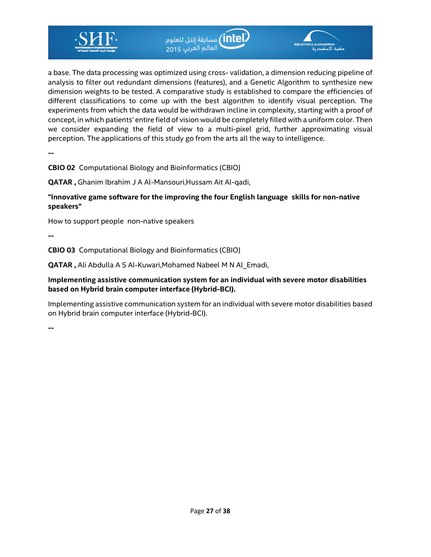

a base. The data processing was optimized using cross- validation, a dimension reducing pipeline of analysis to filter out redundant dimensions (features), and a Genetic Algorithm to synthesize new dimension weights to be tested. A comparative study is established to compare the efficiencies of different classifications to come up with the best algorithm to identify visual perception. The experiments from which the data would be withdrawn incline in complexity, starting with a proof of concept, in which patients' entire field of vision would be completely filled with a uniform color. Then we consider expanding the field of view to a multi-pixel grid, further approximating visual perception. The applications of this study go from the arts all the way to intelligence.

ر <mark>intel)</mark> مسابقة إنتل للعلوم<br>العالم العربي <sub>2015</sub>

**--** 

**CBIO 02** Computational Biology and Bioinformatics (CBIO)

**QATAR ,** Ghanim Ibrahim J A Al-Mansouri,Hussam Ait Al-qadi,

**"Innovative game software for the improving the four English language skills for non-native speakers"** 

How to support people non-native speakers

**--** 

**CBIO 03** Computational Biology and Bioinformatics (CBIO)

**QATAR ,** Ali Abdulla A S Al-Kuwari,Mohamed Nabeel M N Al\_Emadi,

#### **Implementing assistive communication system for an individual with severe motor disabilities based on Hybrid brain computer interface (Hybrid-BCI).**

Implementing assistive communication system for an individual with severe motor disabilities based on Hybrid brain computer interface (Hybrid-BCI).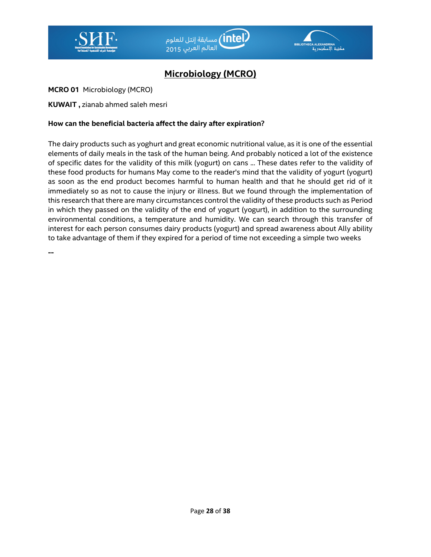



# **Microbiology (MCRO)**

**MCRO 01** Microbiology (MCRO)

**KUWAIT ,** zianab ahmed saleh mesri

#### **How can the beneficial bacteria affect the dairy after expiration**?

The dairy products such as yoghurt and great economic nutritional value, as it is one of the essential elements of daily meals in the task of the human being. And probably noticed a lot of the existence of specific dates for the validity of this milk (yogurt) on cans ... These dates refer to the validity of these food products for humans May come to the reader's mind that the validity of yogurt (yogurt) as soon as the end product becomes harmful to human health and that he should get rid of it immediately so as not to cause the injury or illness. But we found through the implementation of this research that there are many circumstances control the validity of these products such as Period in which they passed on the validity of the end of yogurt (yogurt), in addition to the surrounding environmental conditions, a temperature and humidity. We can search through this transfer of interest for each person consumes dairy products (yogurt) and spread awareness about Ally ability to take advantage of them if they expired for a period of time not exceeding a simple two weeks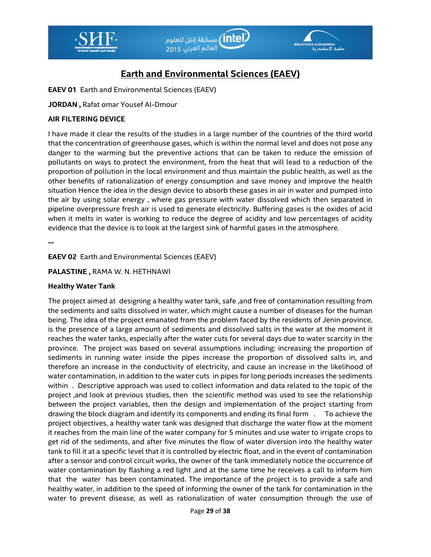



# **Earth and Environmental Sciences (EAEV)**

**EAEV 01** Earth and Environmental Sciences (EAEV)

**JORDAN ,** Rafat omar Yousef Al-Dmour

#### **AIR FILTERING DEVICE**

I have made it clear the results of the studies in a large number of the countries of the third world that the concentration of greenhouse gases, which is within the normal level and does not pose any danger to the warming but the preventive actions that can be taken to reduce the emission of pollutants on ways to protect the environment, from the heat that will lead to a reduction of the proportion of pollution in the local environment and thus maintain the public health, as well as the other benefits of rationalization of energy consumption and save money and improve the health situation Hence the idea in the design device to absorb these gases in air in water and pumped into the air by using solar energy , where gas pressure with water dissolved which then separated in pipeline overpressure fresh air is used to generate electricity. Buffering gases is the oxides of acid when it melts in water is working to reduce the degree of acidity and low percentages of acidity evidence that the device is to look at the largest sink of harmful gases in the atmosphere.

**--** 

#### **EAEV 02** Earth and Environmental Sciences (EAEV)

#### **PALASTINE ,** RAMA W. N. HETHNAWI

#### **Healthy Water Tank**

The project aimed at designing a healthy water tank, safe ,and free of contamination resulting from the sediments and salts dissolved in water, which might cause a number of diseases for the human being. The idea of the project emanated from the problem faced by the residents of Jenin province, is the presence of a large amount of sediments and dissolved salts in the water at the moment it reaches the water tanks, especially after the water cuts for several days due to water scarcity in the province. The project was based on several assumptions including: increasing the proportion of sediments in running water inside the pipes increase the proportion of dissolved salts in, and therefore an increase in the conductivity of electricity, and cause an increase in the likelihood of water contamination, in addition to the water cuts in pipes for long periods increases the sediments within . Descriptive approach was used to collect information and data related to the topic of the project ,and look at previous studies, then the scientific method was used to see the relationship between the project variables, then the design and implementation of the project starting from drawing the block diagram and identify its components and ending its final form . To achieve the project objectives, a healthy water tank was designed that discharge the water flow at the moment it reaches from the main line of the water company for 5 minutes and use water to irrigate crops to get rid of the sediments, and after five minutes the flow of water diversion into the healthy water tank to fill it at a specific level that it is controlled by electric float, and in the event of contamination after a sensor and control circuit works, the owner of the tank immediately notice the occurrence of water contamination by flashing a red light, and at the same time he receives a call to inform him that the water has been contaminated. The importance of the project is to provide a safe and healthy water, in addition to the speed of informing the owner of the tank for contamination in the water to prevent disease, as well as rationalization of water consumption through the use of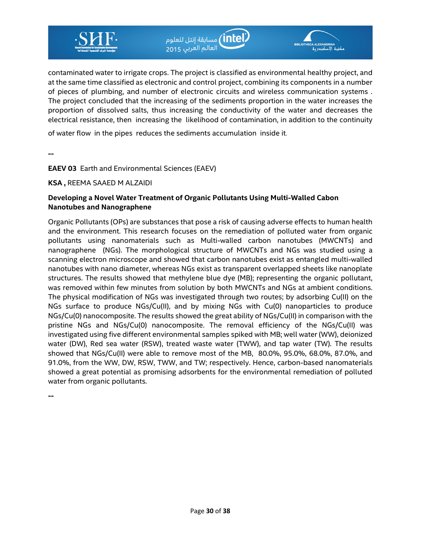

contaminated water to irrigate crops. The project is classified as environmental healthy project, and at the same time classified as electronic and control project, combining its components in a number of pieces of plumbing, and number of electronic circuits and wireless communication systems . The project concluded that the increasing of the sediments proportion in the water increases the proportion of dissolved salts, thus increasing the conductivity of the water and decreases the electrical resistance, then increasing the likelihood of contamination, in addition to the continuity

of water flow in the pipes reduces the sediments accumulation inside it.

**--** 

**EAEV 03** Earth and Environmental Sciences (EAEV)

**KSA ,** REEMA SAAED M ALZAIDI

#### **Developing a Novel Water Treatment of Organic Pollutants Using Multi-Walled Cabon Nanotubes and Nanographene**

Organic Pollutants (OPs) are substances that pose a risk of causing adverse effects to human health and the environment. This research focuses on the remediation of polluted water from organic pollutants using nanomaterials such as Multi-walled carbon nanotubes (MWCNTs) and nanographene (NGs). The morphological structure of MWCNTs and NGs was studied using a scanning electron microscope and showed that carbon nanotubes exist as entangled multi-walled nanotubes with nano diameter, whereas NGs exist as transparent overlapped sheets like nanoplate structures. The results showed that methylene blue dye (MB); representing the organic pollutant, was removed within few minutes from solution by both MWCNTs and NGs at ambient conditions. The physical modification of NGs was investigated through two routes; by adsorbing Cu(II) on the NGs surface to produce NGs/Cu(II), and by mixing NGs with Cu(0) nanoparticles to produce NGs/Cu(0) nanocomposite. The results showed the great ability of NGs/Cu(II) in comparison with the pristine NGs and NGs/Cu(0) nanocomposite. The removal efficiency of the NGs/Cu(II) was investigated using five different environmental samples spiked with MB; well water (WW), deionized water (DW), Red sea water (RSW), treated waste water (TWW), and tap water (TW). The results showed that NGs/Cu(II) were able to remove most of the MB, 80.0%, 95.0%, 68.0%, 87.0%, and 91.0%, from the WW, DW, RSW, TWW, and TW; respectively. Hence, carbon-based nanomaterials showed a great potential as promising adsorbents for the environmental remediation of polluted water from organic pollutants.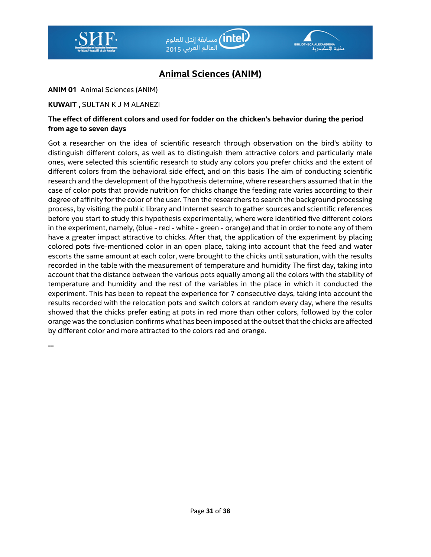



# **Animal Sciences (ANIM)**

**ANIM 01** Animal Sciences (ANIM)

**KUWAIT ,** SULTAN K J M ALANEZI

#### **The effect of different colors and used for fodder on the chicken's behavior during the period from age to seven days**

Got a researcher on the idea of scientific research through observation on the bird's ability to distinguish different colors, as well as to distinguish them attractive colors and particularly male ones, were selected this scientific research to study any colors you prefer chicks and the extent of different colors from the behavioral side effect, and on this basis The aim of conducting scientific research and the development of the hypothesis determine, where researchers assumed that in the case of color pots that provide nutrition for chicks change the feeding rate varies according to their degree of affinity for the color of the user. Then the researchers to search the background processing process, by visiting the public library and Internet search to gather sources and scientific references before you start to study this hypothesis experimentally, where were identified five different colors in the experiment, namely, (blue - red - white - green - orange) and that in order to note any of them have a greater impact attractive to chicks. After that, the application of the experiment by placing colored pots five-mentioned color in an open place, taking into account that the feed and water escorts the same amount at each color, were brought to the chicks until saturation, with the results recorded in the table with the measurement of temperature and humidity The first day, taking into account that the distance between the various pots equally among all the colors with the stability of temperature and humidity and the rest of the variables in the place in which it conducted the experiment. This has been to repeat the experience for 7 consecutive days, taking into account the results recorded with the relocation pots and switch colors at random every day, where the results showed that the chicks prefer eating at pots in red more than other colors, followed by the color orange was the conclusion confirms what has been imposed at the outset that the chicks are affected by different color and more attracted to the colors red and orange.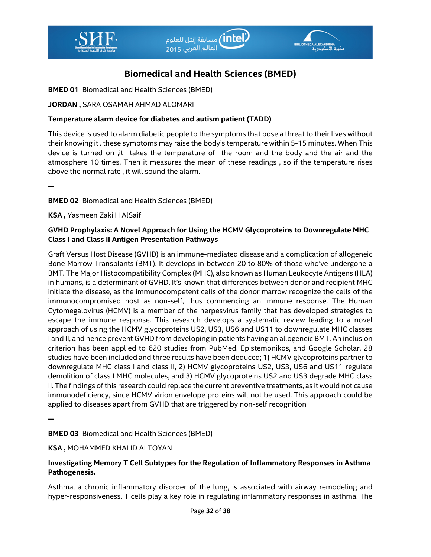



# **Biomedical and Health Sciences (BMED)**

#### **BMED 01** Biomedical and Health Sciences (BMED)

### **JORDAN ,** SARA OSAMAH AHMAD ALOMARI

#### **Temperature alarm device for diabetes and autism patient (TADD)**

This device is used to alarm diabetic people to the symptoms that pose a threat to their lives without their knowing it . these symptoms may raise the body's temperature within 5-15 minutes. When This device is turned on ,it takes the temperature of the room and the body and the air and the atmosphere 10 times. Then it measures the mean of these readings , so if the temperature rises above the normal rate , it will sound the alarm.

**--** 

**BMED 02** Biomedical and Health Sciences (BMED)

**KSA ,** Yasmeen Zaki H AlSaif

### **GVHD Prophylaxis: A Novel Approach for Using the HCMV Glycoproteins to Downregulate MHC Class I and Class II Antigen Presentation Pathways**

Graft Versus Host Disease (GVHD) is an immune-mediated disease and a complication of allogeneic Bone Marrow Transplants (BMT). It develops in between 20 to 80% of those who've undergone a BMT. The Major Histocompatibility Complex (MHC), also known as Human Leukocyte Antigens (HLA) in humans, is a determinant of GVHD. It's known that differences between donor and recipient MHC initiate the disease, as the immunocompetent cells of the donor marrow recognize the cells of the immunocompromised host as non-self, thus commencing an immune response. The Human Cytomegalovirus (HCMV) is a member of the herpesvirus family that has developed strategies to escape the immune response. This research develops a systematic review leading to a novel approach of using the HCMV glycoproteins US2, US3, US6 and US11 to downregulate MHC classes I and II, and hence prevent GVHD from developing in patients having an allogeneic BMT. An inclusion criterion has been applied to 620 studies from PubMed, Epistemonikos, and Google Scholar. 28 studies have been included and three results have been deduced; 1) HCMV glycoproteins partner to downregulate MHC class I and class II, 2) HCMV glycoproteins US2, US3, US6 and US11 regulate demolition of class I MHC molecules, and 3) HCMV glycoproteins US2 and US3 degrade MHC class II. The findings of this research could replace the current preventive treatments, as it would not cause immunodeficiency, since HCMV virion envelope proteins will not be used. This approach could be applied to diseases apart from GVHD that are triggered by non-self recognition

**--** 

**BMED 03** Biomedical and Health Sciences (BMED)

#### **KSA ,** MOHAMMED KHALID ALTOYAN

### **Investigating Memory T Cell Subtypes for the Regulation of Inflammatory Responses in Asthma Pathogenesis.**

Asthma, a chronic inflammatory disorder of the lung, is associated with airway remodeling and hyper-responsiveness. T cells play a key role in regulating inflammatory responses in asthma. The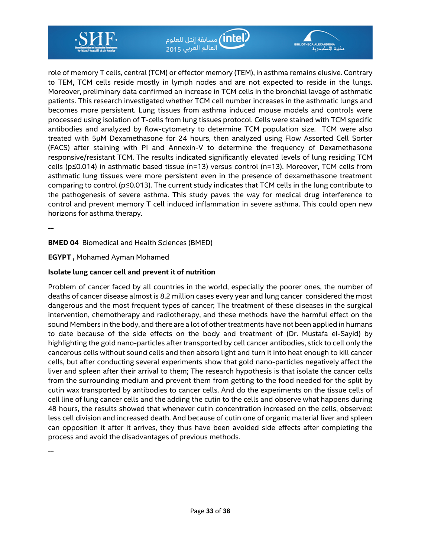

role of memory T cells, central (TCM) or effector memory (TEM), in asthma remains elusive. Contrary to TEM, TCM cells reside mostly in lymph nodes and are not expected to reside in the lungs. Moreover, preliminary data confirmed an increase in TCM cells in the bronchial lavage of asthmatic patients. This research investigated whether TCM cell number increases in the asthmatic lungs and becomes more persistent. Lung tissues from asthma induced mouse models and controls were processed using isolation of T-cells from lung tissues protocol. Cells were stained with TCM specific antibodies and analyzed by flow-cytometry to determine TCM population size. TCM were also treated with 5µM Dexamethasone for 24 hours, then analyzed using Flow Assorted Cell Sorter (FACS) after staining with PI and Annexin-V to determine the frequency of Dexamethasone responsive/resistant TCM. The results indicated significantly elevated levels of lung residing TCM cells (p≤0.014) in asthmatic based tissue (n=13) versus control (n=13). Moreover, TCM cells from asthmatic lung tissues were more persistent even in the presence of dexamethasone treatment comparing to control (p≤0.013). The current study indicates that TCM cells in the lung contribute to the pathogenesis of severe asthma. This study paves the way for medical drug interference to control and prevent memory T cell induced inflammation in severe asthma. This could open new horizons for asthma therapy.

.<br>أحسابقة إنتل للعلوم) (<mark>intel</mark>)

.<br>العالم العربي 2015

a al<mark>exandrina</mark><br>محتوية الأسكندر

#### **BMED 04** Biomedical and Health Sciences (BMED)

**EGYPT ,** Mohamed Ayman Mohamed

#### **Isolate lung cancer cell and prevent it of nutrition**

Problem of cancer faced by all countries in the world, especially the poorer ones, the number of deaths of cancer disease almost is 8.2 million cases every year and lung cancer considered the most dangerous and the most frequent types of cancer; The treatment of these diseases in the surgical intervention, chemotherapy and radiotherapy, and these methods have the harmful effect on the sound Members in the body, and there are a lot of other treatments have not been applied in humans to date because of the side effects on the body and treatment of (Dr. Mustafa el-Sayid) by highlighting the gold nano-particles after transported by cell cancer antibodies, stick to cell only the cancerous cells without sound cells and then absorb light and turn it into heat enough to kill cancer cells, but after conducting several experiments show that gold nano-particles negatively affect the liver and spleen after their arrival to them; The research hypothesis is that isolate the cancer cells from the surrounding medium and prevent them from getting to the food needed for the split by cutin wax transported by antibodies to cancer cells. And do the experiments on the tissue cells of cell line of lung cancer cells and the adding the cutin to the cells and observe what happens during 48 hours, the results showed that whenever cutin concentration increased on the cells, observed: less cell division and increased death. And because of cutin one of organic material liver and spleen can opposition it after it arrives, they thus have been avoided side effects after completing the process and avoid the disadvantages of previous methods.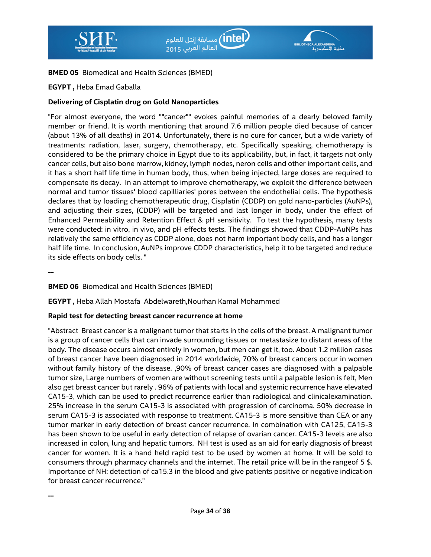



#### **BMED 05** Biomedical and Health Sciences (BMED)

#### **EGYPT ,** Heba Emad Gaballa

#### **Delivering of Cisplatin drug on Gold Nanoparticles**

"For almost everyone, the word ""cancer"" evokes painful memories of a dearly beloved family member or friend. It is worth mentioning that around 7.6 million people died because of cancer (about 13% of all deaths) in 2014. Unfortunately, there is no cure for cancer, but a wide variety of treatments: radiation, laser, surgery, chemotherapy, etc. Specifically speaking, chemotherapy is considered to be the primary choice in Egypt due to its applicability, but, in fact, it targets not only cancer cells, but also bone marrow, kidney, lymph nodes, neron cells and other important cells, and it has a short half life time in human body, thus, when being injected, large doses are required to compensate its decay. In an attempt to improve chemotherapy, we exploit the difference between normal and tumor tissues' blood capilliaries' pores between the endothelial cells. The hypothesis declares that by loading chemotherapeutic drug, Cisplatin (CDDP) on gold nano-particles (AuNPs), and adjusting their sizes, (CDDP) will be targeted and last longer in body, under the effect of Enhanced Permeability and Retention Effect & pH sensitivity. To test the hypothesis, many tests were conducted: in vitro, in vivo, and pH effects tests. The findings showed that CDDP-AuNPs has relatively the same efficiency as CDDP alone, does not harm important body cells, and has a longer half life time. In conclusion, AuNPs improve CDDP characteristics, help it to be targeted and reduce its side effects on body cells. "

**--** 

**--** 

#### **BMED 06** Biomedical and Health Sciences (BMED)

**EGYPT ,** Heba Allah Mostafa Abdelwareth,Nourhan Kamal Mohammed

#### **Rapid test for detecting breast cancer recurrence at home**

"Abstract Breast cancer is a malignant tumor that starts in the cells of the breast. A malignant tumor is a group of cancer cells that can invade surrounding tissues or metastasize to distant areas of the body. The disease occurs almost entirely in women, but men can get it, too. About 1.2 million cases of breast cancer have been diagnosed in 2014 worldwide, 70% of breast cancers occur in women without family history of the disease. ,90% of breast cancer cases are diagnosed with a palpable tumor size, Large numbers of women are without screening tests until a palpable lesion is felt, Men also get breast cancer but rarely . 96% of patients with local and systemic recurrence have elevated CA15-3, which can be used to predict recurrence earlier than radiological and clinicalexamination. 25% increase in the serum CA15-3 is associated with progression of carcinoma. 50% decrease in serum CA15-3 is associated with response to treatment. CA15-3 is more sensitive than CEA or any tumor marker in early detection of breast cancer recurrence. In combination with CA125, CA15-3 has been shown to be useful in early detection of relapse of ovarian cancer. CA15-3 levels are also increased in colon, lung and hepatic tumors. NH test is used as an aid for early diagnosis of breast cancer for women. It is a hand held rapid test to be used by women at home. It will be sold to consumers through pharmacy channels and the internet. The retail price will be in the rangeof 5 \$. Importance of NH: detection of ca15.3 in the blood and give patients positive or negative indication for breast cancer recurrence."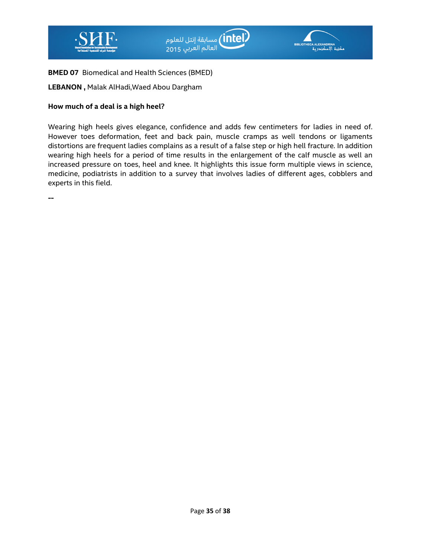



## **BMED 07** Biomedical and Health Sciences (BMED)

**LEBANON ,** Malak AlHadi,Waed Abou Dargham

## **How much of a deal is a high heel**?

Wearing high heels gives elegance, confidence and adds few centimeters for ladies in need of. However toes deformation, feet and back pain, muscle cramps as well tendons or ligaments distortions are frequent ladies complains as a result of a false step or high hell fracture. In addition wearing high heels for a period of time results in the enlargement of the calf muscle as well an increased pressure on toes, heel and knee. It highlights this issue form multiple views in science, medicine, podiatrists in addition to a survey that involves ladies of different ages, cobblers and experts in this field.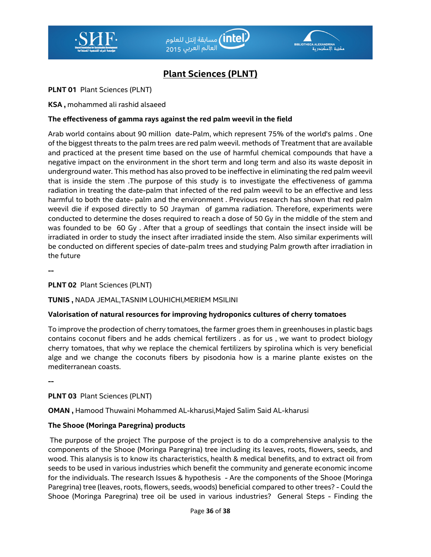



# **Plant Sciences (PLNT)**

### **PLNT 01** Plant Sciences (PLNT)

**KSA ,** mohammed ali rashid alsaeed

## **The effectiveness of gamma rays against the red palm weevil in the field**

Arab world contains about 90 million date-Palm, which represent 75% of the world's palms . One of the biggest threats to the palm trees are red palm weevil. methods of Treatment that are available and practiced at the present time based on the use of harmful chemical compounds that have a negative impact on the environment in the short term and long term and also its waste deposit in underground water. This method has also proved to be ineffective in eliminating the red palm weevil that is inside the stem .The purpose of this study is to investigate the effectiveness of gamma radiation in treating the date-palm that infected of the red palm weevil to be an effective and less harmful to both the date- palm and the environment . Previous research has shown that red palm weevil die if exposed directly to 50 Jrayman of gamma radiation. Therefore, experiments were conducted to determine the doses required to reach a dose of 50 Gy in the middle of the stem and was founded to be 60 Gy . After that a group of seedlings that contain the insect inside will be irradiated in order to study the insect after irradiated inside the stem. Also similar experiments will be conducted on different species of date-palm trees and studying Palm growth after irradiation in the future

**--** 

### **PLNT 02** Plant Sciences (PLNT)

### **TUNIS ,** NADA JEMAL,TASNIM LOUHICHI,MERIEM MSILINI

### **Valorisation of natural resources for improving hydroponics cultures of cherry tomatoes**

To improve the prodection of cherry tomatoes, the farmer groes them in greenhouses in plastic bags contains coconut fibers and he adds chemical fertilizers . as for us , we want to prodect biology cherry tomatoes, that why we replace the chemical fertilizers by spirolina which is very beneficial alge and we change the coconuts fibers by pisodonia how is a marine plante existes on the mediterranean coasts.

**--** 

### **PLNT 03** Plant Sciences (PLNT)

**OMAN ,** Hamood Thuwaini Mohammed AL-kharusi,Majed Salim Said AL-kharusi

### **The Shooe (Moringa Paregrina) products**

 The purpose of the project The purpose of the project is to do a comprehensive analysis to the components of the Shooe (Moringa Paregrina) tree including its leaves, roots, flowers, seeds, and wood. This alanysis is to know its characteristics, health & medical benefits, and to extract oil from seeds to be used in various industries which benefit the community and generate economic income for the individuals. The research Issues & hypothesis - Are the components of the Shooe (Moringa Paregrina) tree (leaves, roots, flowers, seeds, woods) beneficial compared to other trees? - Could the Shooe (Moringa Paregrina) tree oil be used in various industries? General Steps - Finding the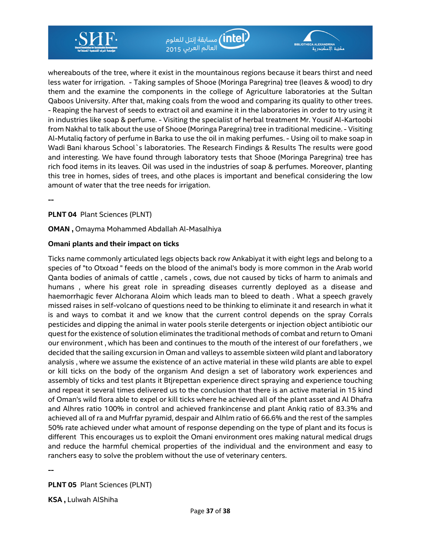

whereabouts of the tree, where it exist in the mountainous regions because it bears thirst and need less water for irrigation. - Taking samples of Shooe (Moringa Paregrina) tree (leaves & wood) to dry them and the examine the components in the college of Agriculture laboratories at the Sultan Qaboos University. After that, making coals from the wood and comparing its quality to other trees. - Reaping the harvest of seeds to extract oil and examine it in the laboratories in order to try using it in industries like soap & perfume. - Visiting the specialist of herbal treatment Mr. Yousif Al-Kartoobi from Nakhal to talk about the use of Shooe (Moringa Paregrina) tree in traditional medicine. - Visiting Al-Mutaliq factory of perfume in Barka to use the oil in making perfumes. - Using oil to make soap in Wadi Bani kharous School`s laboratories. The Research Findings & Results The results were good and interesting. We have found through laboratory tests that Shooe (Moringa Paregrina) tree has rich food items in its leaves. Oil was used in the industries of soap & perfumes. Moreover, planting this tree in homes, sides of trees, and othe places is important and benefical considering the low amount of water that the tree needs for irrigation.

.<br>(intel) مسابقة إنتل للعلوم)

مكتبة الاسكندرية

العالم العربي 2015

**--** 

### **PLNT 04** Plant Sciences (PLNT)

#### **OMAN ,** Omayma Mohammed Abdallah Al-Masalhiya

#### **Omani plants and their impact on ticks**

Ticks name commonly articulated legs objects back row Ankabiyat it with eight legs and belong to a species of "to Otxoad " feeds on the blood of the animal's body is more common in the Arab world Qanta bodies of animals of cattle , camels , cows, due not caused by ticks of harm to animals and humans , where his great role in spreading diseases currently deployed as a disease and haemorrhagic fever Alchorana Aloim which leads man to bleed to death . What a speech gravely missed raises in self-volcano of questions need to be thinking to eliminate it and research in what it is and ways to combat it and we know that the current control depends on the spray Corrals pesticides and dipping the animal in water pools sterile detergents or injection object antibiotic our quest for the existence of solution eliminates the traditional methods of combat and return to Omani our environment , which has been and continues to the mouth of the interest of our forefathers , we decided that the sailing excursion in Oman and valleys to assemble sixteen wild plant and laboratory analysis , where we assume the existence of an active material in these wild plants are able to expel or kill ticks on the body of the organism And design a set of laboratory work experiences and assembly of ticks and test plants it Btjrepettan experience direct spraying and experience touching and repeat it several times delivered us to the conclusion that there is an active material in 15 kind of Oman's wild flora able to expel or kill ticks where he achieved all of the plant asset and Al Dhafra and Alhres ratio 100% in control and achieved frankincense and plant Ankiq ratio of 83.3% and achieved all of ra and Mufrfar pyramid, despair and Alhlm ratio of 66.6% and the rest of the samples 50% rate achieved under what amount of response depending on the type of plant and its focus is different This encourages us to exploit the Omani environment ores making natural medical drugs and reduce the harmful chemical properties of the individual and the environment and easy to ranchers easy to solve the problem without the use of veterinary centers.

**--** 

**PLNT 05** Plant Sciences (PLNT)

**KSA ,** Lulwah AlShiha